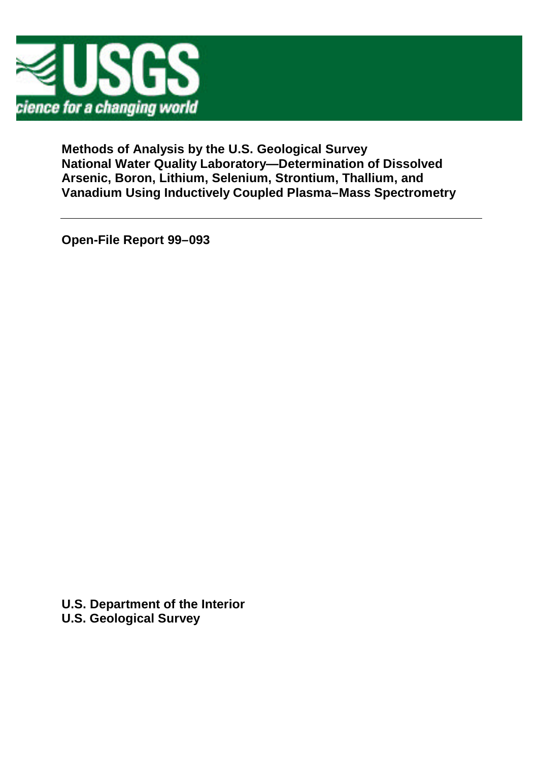

**Methods of Analysis by the U.S. Geological Survey National Water Quality Laboratory— Determination of Dissolved Arsenic, Boron, Lithium, Selenium, Strontium, Thallium, and Vanadium Using Inductively Coupled Plasma–Mass Spectrometry**

**Open-File Report 99–093**

**U.S. Department of the Interior U.S. Geological Survey**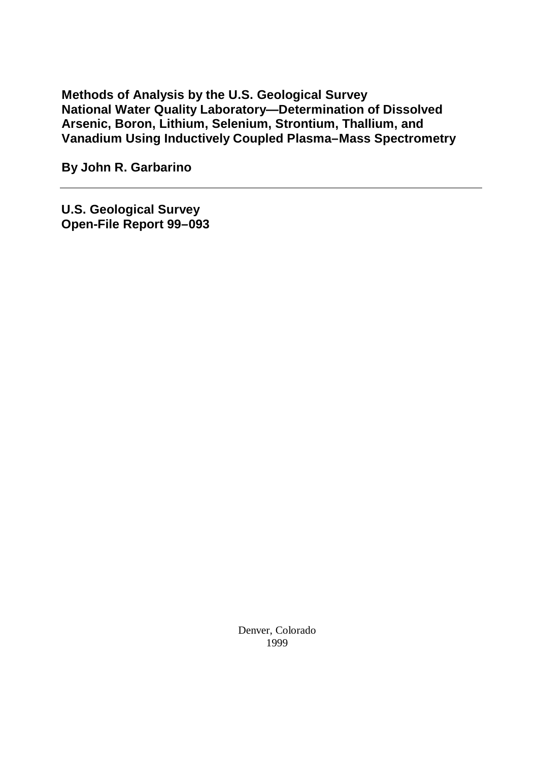**Methods of Analysis by the U.S. Geological Survey National Water Quality Laboratory— Determination of Dissolved Arsenic, Boron, Lithium, Selenium, Strontium, Thallium, and Vanadium Using Inductively Coupled Plasma–Mass Spectrometry**

**By John R. Garbarino**

**U.S. Geological Survey Open-File Report 99–093**

> Denver, Colorado 1999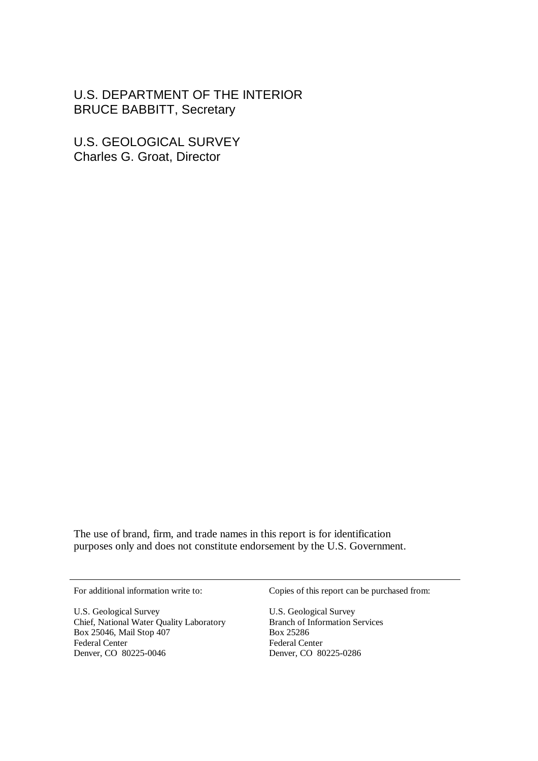U.S. DEPARTMENT OF THE INTERIOR BRUCE BABBITT, Secretary

U.S. GEOLOGICAL SURVEY Charles G. Groat, Director

The use of brand, firm, and trade names in this report is for identification purposes only and does not constitute endorsement by the U.S. Government.

U.S. Geological Survey U.S. Geological Survey Chief, National Water Quality Laboratory<br>Box 25046, Mail Stop 407 Branch of Information Services<br>Box 25286 Box 25046, Mail Stop 407 Federal Center Federal Center Denver, CO 80225-0046 Denver, CO 80225-0286

For additional information write to: Copies of this report can be purchased from: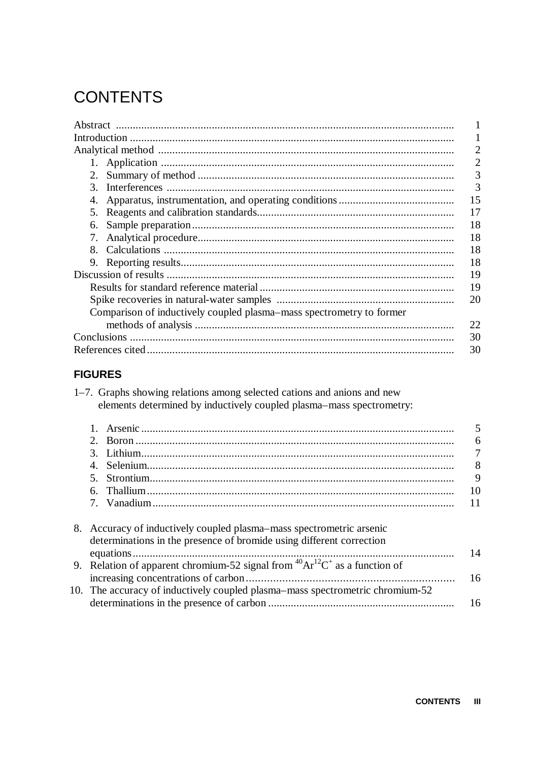# **CONTENTS**

|                                                                      | 2 |
|----------------------------------------------------------------------|---|
|                                                                      | 2 |
| 2.                                                                   | 3 |
| 3.                                                                   | 3 |
| 15<br>4.                                                             |   |
| 17<br>5.                                                             |   |
| 18<br>6.                                                             |   |
| 18<br>7.                                                             |   |
| 18<br>8.                                                             |   |
| 18<br>9.                                                             |   |
| 19                                                                   |   |
| 19                                                                   |   |
| 20                                                                   |   |
| Comparison of inductively coupled plasma–mass spectrometry to former |   |
| 22                                                                   |   |
| 30                                                                   |   |
| 30                                                                   |   |

# **FIGURES**

| 1–7. Graphs showing relations among selected cations and anions and new |  |  |
|-------------------------------------------------------------------------|--|--|
| elements determined by inductively coupled plasma–mass spectrometry:    |  |  |

| 4.                                                                                   |
|--------------------------------------------------------------------------------------|
|                                                                                      |
|                                                                                      |
|                                                                                      |
| 8. Accuracy of inductively coupled plasma–mass spectrometric arsenic                 |
| determinations in the presence of bromide using different correction                 |
|                                                                                      |
| 9. Relation of apparent chromium-52 signal from ${}^{40}Ar^{12}C^+$ as a function of |
|                                                                                      |
|                                                                                      |

| 10. The accuracy of inductively coupled plasma–mass spectrometric chromium-52 |  |
|-------------------------------------------------------------------------------|--|
|                                                                               |  |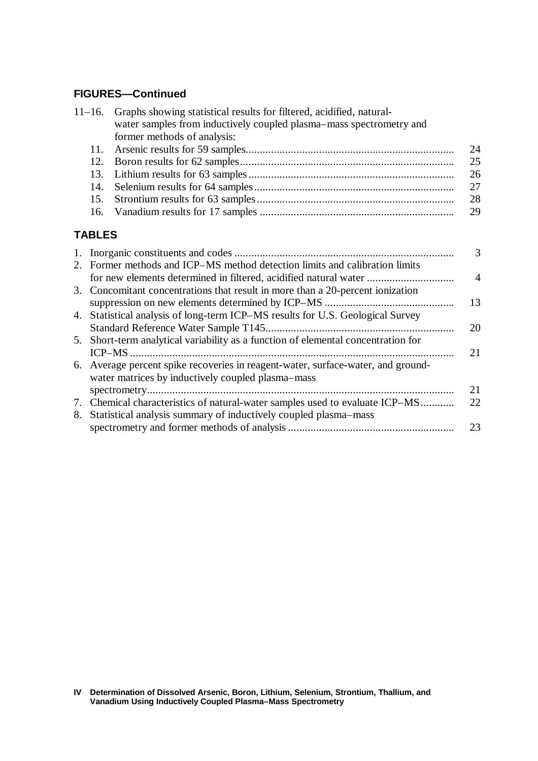# **FIGURES— Continued**

|    | Graphs showing statistical results for filtered, acidified, natural-<br>$11 - 16.$ |                                                                                   |                |  |  |
|----|------------------------------------------------------------------------------------|-----------------------------------------------------------------------------------|----------------|--|--|
|    |                                                                                    | water samples from inductively coupled plasma-mass spectrometry and               |                |  |  |
|    |                                                                                    | former methods of analysis:                                                       |                |  |  |
|    | 11.                                                                                |                                                                                   | 24             |  |  |
|    | 12.                                                                                |                                                                                   | 25             |  |  |
|    | 13.                                                                                |                                                                                   | 26             |  |  |
|    | 14.                                                                                |                                                                                   | 27             |  |  |
|    | 15.                                                                                |                                                                                   | 28             |  |  |
|    | 16.                                                                                |                                                                                   | 29             |  |  |
|    | <b>TABLES</b>                                                                      |                                                                                   |                |  |  |
|    |                                                                                    |                                                                                   | 3              |  |  |
|    |                                                                                    | 2. Former methods and ICP-MS method detection limits and calibration limits       |                |  |  |
|    |                                                                                    | for new elements determined in filtered, acidified natural water                  | $\overline{4}$ |  |  |
|    |                                                                                    | 3. Concomitant concentrations that result in more than a 20-percent ionization    |                |  |  |
|    |                                                                                    |                                                                                   | 13             |  |  |
| 4. |                                                                                    | Statistical analysis of long-term ICP–MS results for U.S. Geological Survey       |                |  |  |
|    |                                                                                    |                                                                                   | 20             |  |  |
|    |                                                                                    | 5. Short-term analytical variability as a function of elemental concentration for |                |  |  |
|    |                                                                                    |                                                                                   | 21             |  |  |
|    |                                                                                    | 6 Average percent spike recoveries in reagant water surface water and ground      |                |  |  |

| 6. Average percent spike recoveries in reagent-water, surface-water, and ground- |    |
|----------------------------------------------------------------------------------|----|
| water matrices by inductively coupled plasma–mass                                |    |
|                                                                                  | 21 |
|                                                                                  |    |
| 8. Statistical analysis summary of inductively coupled plasma–mass               |    |
|                                                                                  | 23 |

**Determination of Dissolved Arsenic, Boron, Lithium, Selenium, Strontium, Thallium, and Vanadium Using Inductively Coupled Plasma–Mass Spectrometry IV**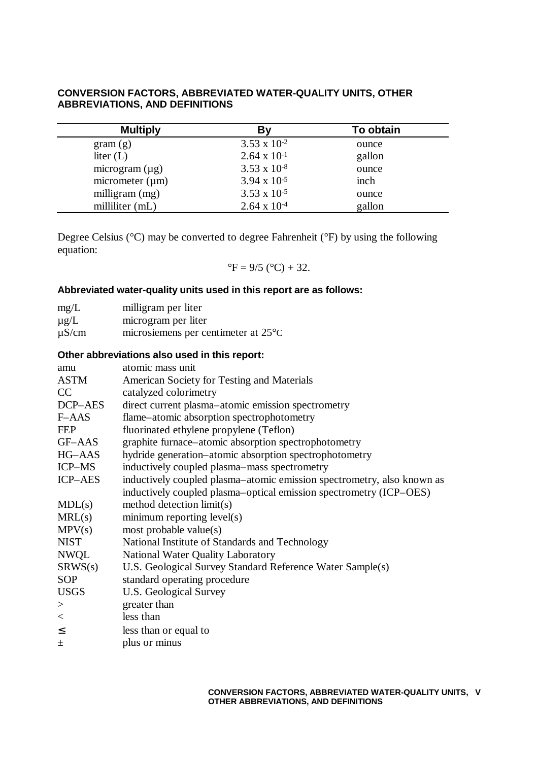### **CONVERSION FACTORS, ABBREVIATED WATER-QUALITY UNITS, OTHER ABBREVIATIONS, AND DEFINITIONS**

| <b>Multiply</b>      | Βy                    | To obtain |
|----------------------|-----------------------|-----------|
| gram(g)              | $3.53 \times 10^{-2}$ | ounce     |
| liter $(L)$          | $2.64 \times 10^{-1}$ | gallon    |
| microgram $(\mu g)$  | $3.53 \times 10^{-8}$ | ounce     |
| micrometer $(\mu m)$ | $3.94 \times 10^{-5}$ | inch      |
| milligram $(mg)$     | $3.53 \times 10^{-5}$ | ounce     |
| milliliter (mL)      | $2.64 \times 10^{-4}$ | gallon    |

Degree Celsius (°C) may be converted to degree Fahrenheit (°F) by using the following equation:

$$
^{\circ}F = 9/5 (^{\circ}C) + 32.
$$

### **Abbreviated water-quality units used in this report are as follows:**

| mg/L       | milligram per liter                           |
|------------|-----------------------------------------------|
| $\mu$ g/L  | microgram per liter                           |
| $\mu$ S/cm | microsiemens per centimeter at $25^{\circ}$ C |

# **Other abbreviations also used in this report:**

| amu            | atomic mass unit                                                       |
|----------------|------------------------------------------------------------------------|
| ASTM           | American Society for Testing and Materials                             |
| CC             | catalyzed colorimetry                                                  |
| DCP-AES        | direct current plasma–atomic emission spectrometry                     |
| $F-AdS$        | flame–atomic absorption spectrophotometry                              |
| <b>FEP</b>     | fluorinated ethylene propylene (Teflon)                                |
| GF–AAS         | graphite furnace-atomic absorption spectrophotometry                   |
| HG-AAS         | hydride generation-atomic absorption spectrophotometry                 |
| ICP-MS         | inductively coupled plasma–mass spectrometry                           |
| <b>ICP-AES</b> | inductively coupled plasma-atomic emission spectrometry, also known as |
|                | inductively coupled plasma-optical emission spectrometry (ICP-OES)     |
| MDL(s)         | method detection limit(s)                                              |
| MRL(s)         | minimum reporting level(s)                                             |
| MPV(s)         | most probable value $(s)$                                              |
| <b>NIST</b>    | National Institute of Standards and Technology                         |
| <b>NWQL</b>    | National Water Quality Laboratory                                      |
| SRWS(s)        | U.S. Geological Survey Standard Reference Water Sample(s)              |
| <b>SOP</b>     | standard operating procedure                                           |
| <b>USGS</b>    | U.S. Geological Survey                                                 |
| >              | greater than                                                           |
| $\,<\,$        | less than                                                              |
| $\leq$         | less than or equal to                                                  |
| 土              | plus or minus                                                          |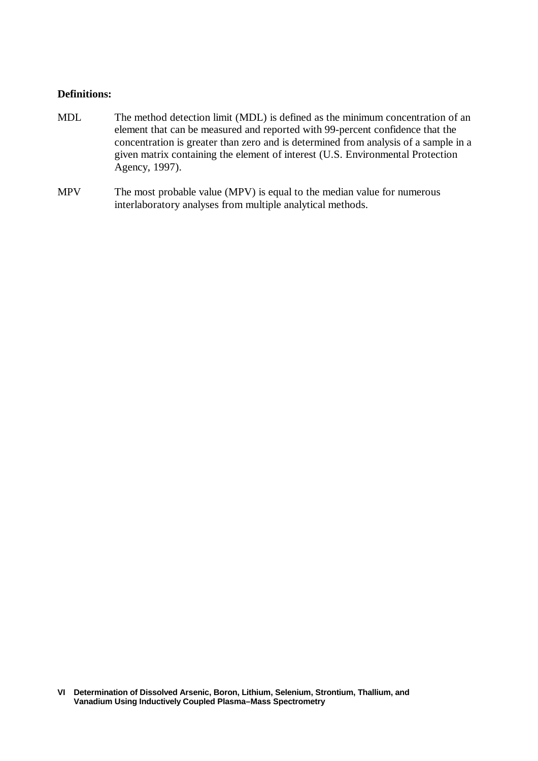#### **Definitions:**

- MDL The method detection limit (MDL) is defined as the minimum concentration of an element that can be measured and reported with 99-percent confidence that the concentration is greater than zero and is determined from analysis of a sample in a given matrix containing the element of interest (U.S. Environmental Protection Agency, 1997).
- MPV The most probable value (MPV) is equal to the median value for numerous interlaboratory analyses from multiple analytical methods.

**Determination of Dissolved Arsenic, Boron, Lithium, Selenium, Strontium, Thallium, and VI Vanadium Using Inductively Coupled Plasma–Mass Spectrometry**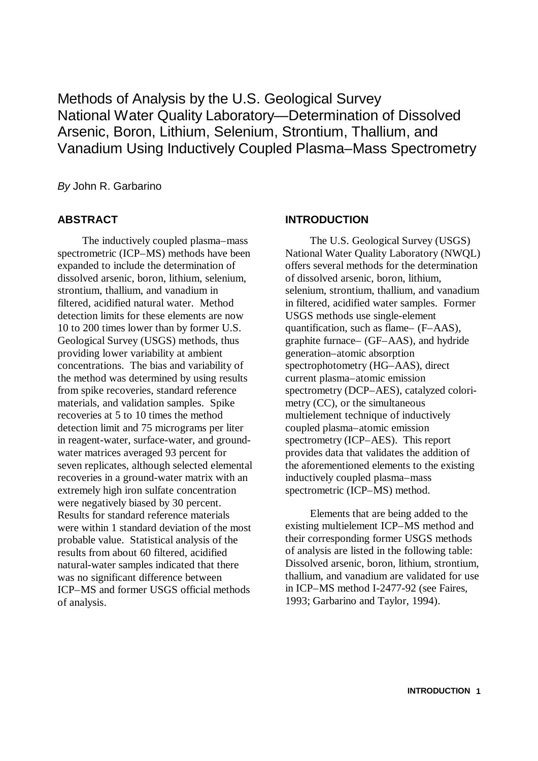Methods of Analysis by the U.S. Geological Survey National Water Quality Laboratory— Determination of Dissolved Arsenic, Boron, Lithium, Selenium, Strontium, Thallium, and Vanadium Using Inductively Coupled Plasma–Mass Spectrometry

*By* John R. Garbarino

# **ABSTRACT**

The inductively coupled plasma–mass spectrometric (ICP–MS) methods have been expanded to include the determination of dissolved arsenic, boron, lithium, selenium, strontium, thallium, and vanadium in filtered, acidified natural water. Method detection limits for these elements are now 10 to 200 times lower than by former U.S. Geological Survey (USGS) methods, thus providing lower variability at ambient concentrations. The bias and variability of the method was determined by using results from spike recoveries, standard reference materials, and validation samples. Spike recoveries at 5 to 10 times the method detection limit and 75 micrograms per liter in reagent-water, surface-water, and groundwater matrices averaged 93 percent for seven replicates, although selected elemental recoveries in a ground-water matrix with an extremely high iron sulfate concentration were negatively biased by 30 percent. Results for standard reference materials were within 1 standard deviation of the most probable value. Statistical analysis of the results from about 60 filtered, acidified natural-water samples indicated that there was no significant difference between ICP–MS and former USGS official methods of analysis.

### **INTRODUCTION**

The U.S. Geological Survey (USGS) National Water Quality Laboratory (NWQL) offers several methods for the determination of dissolved arsenic, boron, lithium, selenium, strontium, thallium, and vanadium in filtered, acidified water samples. Former USGS methods use single-element quantification, such as flame– (F–AAS), graphite furnace– (GF–AAS), and hydride generation–atomic absorption spectrophotometry (HG–AAS), direct current plasma–atomic emission spectrometry (DCP–AES), catalyzed colorimetry (CC), or the simultaneous multielement technique of inductively coupled plasma–atomic emission spectrometry (ICP–AES). This report provides data that validates the addition of the aforementioned elements to the existing inductively coupled plasma–mass spectrometric (ICP–MS) method.

Elements that are being added to the existing multielement ICP–MS method and their corresponding former USGS methods of analysis are listed in the following table: Dissolved arsenic, boron, lithium, strontium, thallium, and vanadium are validated for use in ICP–MS method I-2477-92 (see Faires, 1993; Garbarino and Taylor, 1994).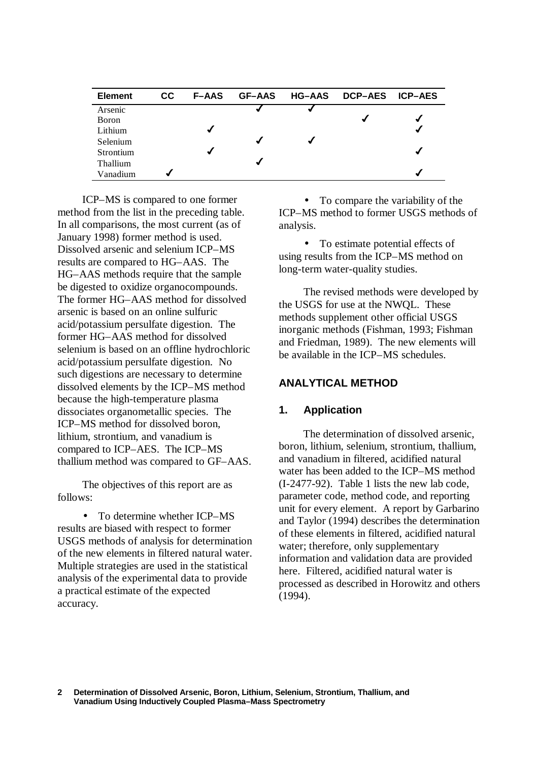| <b>Element</b> | CC. | <b>F-AAS</b> | <b>GF-AAS</b> | <b>HG-AAS</b> | <b>DCP-AES</b> | <b>ICP-AES</b> |
|----------------|-----|--------------|---------------|---------------|----------------|----------------|
| Arsenic        |     |              |               |               |                |                |
| <b>Boron</b>   |     |              |               |               |                |                |
| Lithium        |     |              |               |               |                | √              |
| Selenium       |     |              |               |               |                |                |
| Strontium      |     |              |               |               |                | ✔              |
| Thallium       |     |              |               |               |                |                |
| Vanadium       |     |              |               |               |                |                |

ICP–MS is compared to one former method from the list in the preceding table. In all comparisons, the most current (as of January 1998) former method is used. Dissolved arsenic and selenium ICP–MS results are compared to HG–AAS. The HG–AAS methods require that the sample be digested to oxidize organocompounds. The former HG–AAS method for dissolved arsenic is based on an online sulfuric acid/potassium persulfate digestion. The former HG–AAS method for dissolved selenium is based on an offline hydrochloric acid/potassium persulfate digestion. No such digestions are necessary to determine dissolved elements by the ICP–MS method because the high-temperature plasma dissociates organometallic species. The ICP–MS method for dissolved boron, lithium, strontium, and vanadium is compared to ICP–AES. The ICP–MS thallium method was compared to GF–AAS.

The objectives of this report are as follows:

• To determine whether ICP–MS results are biased with respect to former USGS methods of analysis for determination of the new elements in filtered natural water. Multiple strategies are used in the statistical analysis of the experimental data to provide a practical estimate of the expected accuracy.

• To compare the variability of the ICP–MS method to former USGS methods of analysis.

• To estimate potential effects of using results from the ICP–MS method on long-term water-quality studies.

The revised methods were developed by the USGS for use at the NWQL. These methods supplement other official USGS inorganic methods (Fishman, 1993; Fishman and Friedman, 1989). The new elements will be available in the ICP–MS schedules.

### **ANALYTICAL METHOD**

### **1. Application**

The determination of dissolved arsenic, boron, lithium, selenium, strontium, thallium, and vanadium in filtered, acidified natural water has been added to the ICP–MS method (I-2477-92). Table 1 lists the new lab code, parameter code, method code, and reporting unit for every element. A report by Garbarino and Taylor (1994) describes the determination of these elements in filtered, acidified natural water; therefore, only supplementary information and validation data are provided here. Filtered, acidified natural water is processed as described in Horowitz and others (1994).

**Determination of Dissolved Arsenic, Boron, Lithium, Selenium, Strontium, Thallium, and Vanadium Using Inductively Coupled Plasma–Mass Spectrometry 2**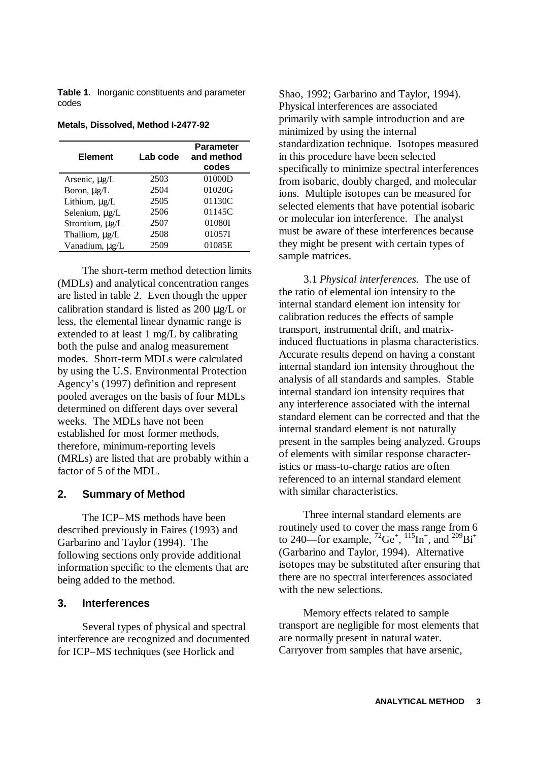**Table 1.** Inorganic constituents and parameter codes

| <b>Element</b>   | Lab code | <b>Parameter</b><br>and method<br>codes |
|------------------|----------|-----------------------------------------|
| Arsenic, µg/L    | 2503     | 01000D                                  |
| Boron, $\mu$ g/L | 2504     | 01020G                                  |
| Lithium, µg/L    | 2505     | 01130C                                  |
| Selenium, µg/L   | 2506     | 01145C                                  |
| Strontium, µg/L  | 2507     | 01080I                                  |
| Thallium, µg/L   | 2508     | 010571                                  |
| Vanadium, µg/L   | 2509     | 01085E                                  |

**Metals, Dissolved, Method I-2477-92**

The short-term method detection limits (MDLs) and analytical concentration ranges are listed in table 2. Even though the upper calibration standard is listed as 200 μg/L or less, the elemental linear dynamic range is extended to at least 1 mg/L by calibrating both the pulse and analog measurement modes. Short-term MDLs were calculated by using the U.S. Environmental Protection Agency's (1997) definition and represent pooled averages on the basis of four MDLs determined on different days over several weeks. The MDLs have not been established for most former methods, therefore, minimum-reporting levels (MRLs) are listed that are probably within a factor of 5 of the MDL.

### **2. Summary of Method**

The ICP–MS methods have been described previously in Faires (1993) and Garbarino and Taylor (1994). The following sections only provide additional information specific to the elements that are being added to the method.

#### **3. Interferences**

Several types of physical and spectral interference are recognized and documented for ICP–MS techniques (see Horlick and

Shao, 1992; Garbarino and Taylor, 1994). Physical interferences are associated primarily with sample introduction and are minimized by using the internal standardization technique. Isotopes measured in this procedure have been selected specifically to minimize spectral interferences from isobaric, doubly charged, and molecular ions. Multiple isotopes can be measured for selected elements that have potential isobaric or molecular ion interference. The analyst must be aware of these interferences because they might be present with certain types of sample matrices.

3.1 *Physical interferences.* The use of the ratio of elemental ion intensity to the internal standard element ion intensity for calibration reduces the effects of sample transport, instrumental drift, and matrixinduced fluctuations in plasma characteristics. Accurate results depend on having a constant internal standard ion intensity throughout the analysis of all standards and samples. Stable internal standard ion intensity requires that any interference associated with the internal standard element can be corrected and that the internal standard element is not naturally present in the samples being analyzed. Groups of elements with similar response characteristics or mass-to-charge ratios are often referenced to an internal standard element with similar characteristics.

Three internal standard elements are routinely used to cover the mass range from 6 to 240—for example,  ${}^{72}$ Ge<sup>+</sup>,  ${}^{115}$ In<sup>+</sup>, and  ${}^{209}$ Bi<sup>+</sup> (Garbarino and Taylor, 1994). Alternative isotopes may be substituted after ensuring that there are no spectral interferences associated with the new selections.

Memory effects related to sample transport are negligible for most elements that are normally present in natural water. Carryover from samples that have arsenic,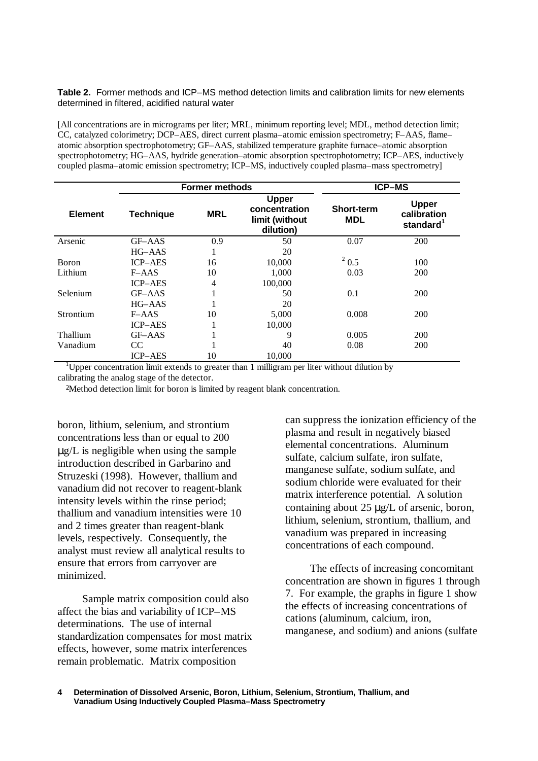**Table 2.** Former methods and ICP–MS method detection limits and calibration limits for new elements determined in filtered, acidified natural water

[All concentrations are in micrograms per liter; MRL, minimum reporting level; MDL, method detection limit; CC, catalyzed colorimetry; DCP–AES, direct current plasma–atomic emission spectrometry; F–AAS, flame– atomic absorption spectrophotometry; GF–AAS, stabilized temperature graphite furnace–atomic absorption spectrophotometry; HG–AAS, hydride generation–atomic absorption spectrophotometry; ICP–AES, inductively coupled plasma–atomic emission spectrometry; ICP–MS, inductively coupled plasma–mass spectrometry]

|                                                                                                                  | <b>Former methods</b> |                                 |                                                      | <b>ICP-MS</b> |            |
|------------------------------------------------------------------------------------------------------------------|-----------------------|---------------------------------|------------------------------------------------------|---------------|------------|
| <b>Upper</b><br>concentration<br><b>MRL</b><br><b>Element</b><br><b>Technique</b><br>limit (without<br>dilution) |                       | <b>Short-term</b><br><b>MDL</b> | <b>Upper</b><br>calibration<br>standard <sup>1</sup> |               |            |
| Arsenic                                                                                                          | GF-AAS                | 0.9                             | 50                                                   | 0.07          | 200        |
|                                                                                                                  | $HG$ -AAS             |                                 | 20                                                   |               |            |
| <b>Boron</b>                                                                                                     | <b>ICP-AES</b>        | 16                              | 10,000                                               | $^{2}$ 0.5    | 100        |
| Lithium                                                                                                          | $F-AS$                | 10                              | 1,000                                                | 0.03          | 200        |
|                                                                                                                  | <b>ICP-AES</b>        | 4                               | 100,000                                              |               |            |
| Selenium                                                                                                         | GF-AAS                |                                 | 50                                                   | 0.1           | 200        |
|                                                                                                                  | $HG$ –AAS             |                                 | 20                                                   |               |            |
| Strontium                                                                                                        | $F-AdS$               | 10                              | 5,000                                                | 0.008         | 200        |
|                                                                                                                  | <b>ICP-AES</b>        |                                 | 10,000                                               |               |            |
| Thallium                                                                                                         | GF-AAS                |                                 | 9                                                    | 0.005         | <b>200</b> |
| Vanadium                                                                                                         | CC                    |                                 | 40                                                   | 0.08          | 200        |
|                                                                                                                  | <b>ICP-AES</b>        | 10                              | 10,000                                               |               |            |

<sup>1</sup>Upper concentration limit extends to greater than 1 milligram per liter without dilution by calibrating the analog stage of the detector.

<sup>2</sup>Method detection limit for boron is limited by reagent blank concentration.

boron, lithium, selenium, and strontium concentrations less than or equal to 200 μg/L is negligible when using the sample introduction described in Garbarino and Struzeski (1998). However, thallium and vanadium did not recover to reagent-blank intensity levels within the rinse period; thallium and vanadium intensities were 10 and 2 times greater than reagent-blank levels, respectively. Consequently, the analyst must review all analytical results to ensure that errors from carryover are minimized.

Sample matrix composition could also affect the bias and variability of ICP–MS determinations. The use of internal standardization compensates for most matrix effects, however, some matrix interferences remain problematic. Matrix composition

can suppress the ionization efficiency of the plasma and result in negatively biased elemental concentrations. Aluminum sulfate, calcium sulfate, iron sulfate, manganese sulfate, sodium sulfate, and sodium chloride were evaluated for their matrix interference potential. A solution containing about 25 μg/L of arsenic, boron, lithium, selenium, strontium, thallium, and vanadium was prepared in increasing concentrations of each compound.

The effects of increasing concomitant concentration are shown in figures 1 through 7. For example, the graphs in figure 1 show the effects of increasing concentrations of cations (aluminum, calcium, iron, manganese, and sodium) and anions (sulfate

**Determination of Dissolved Arsenic, Boron, Lithium, Selenium, Strontium, Thallium, and Vanadium Using Inductively Coupled Plasma–Mass Spectrometry 4**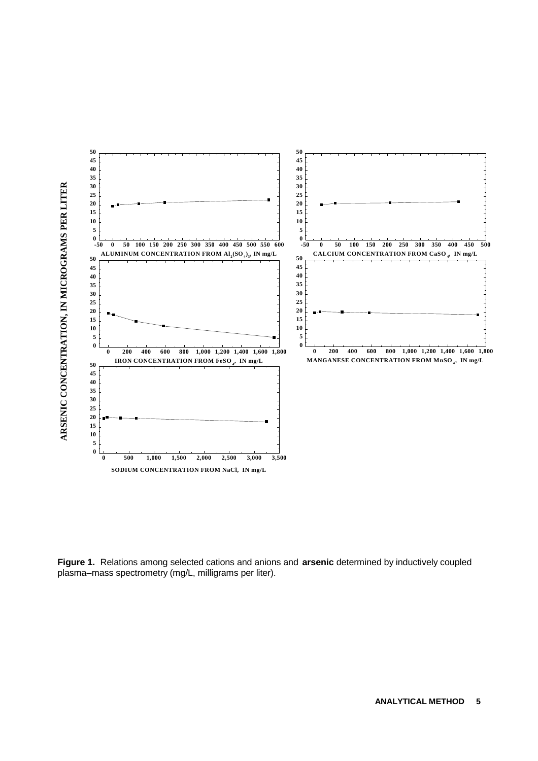

**Figure 1.** Relations among selected cations and anions and **arsenic** determined by inductively coupled plasma–mass spectrometry (mg/L, milligrams per liter).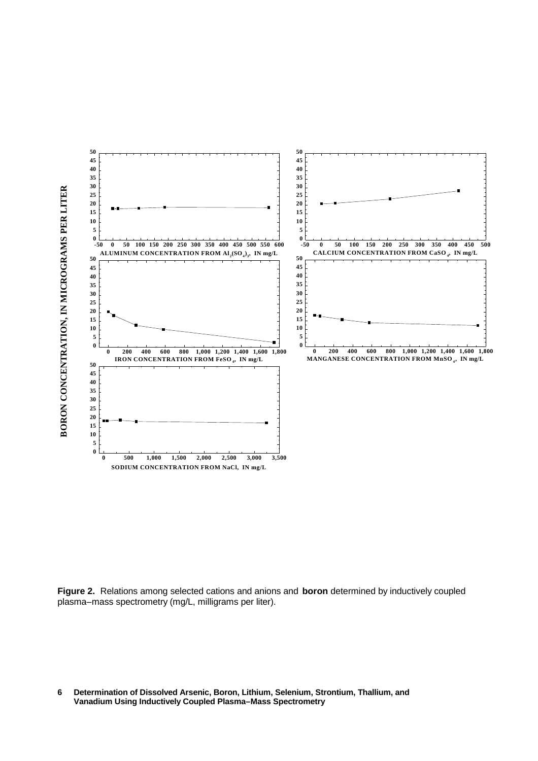

**Figure 2.** Relations among selected cations and anions and **boron** determined by inductively coupled plasma–mass spectrometry (mg/L, milligrams per liter).

**Determination of Dissolved Arsenic, Boron, Lithium, Selenium, Strontium, Thallium, and Vanadium Using Inductively Coupled Plasma–Mass Spectrometry**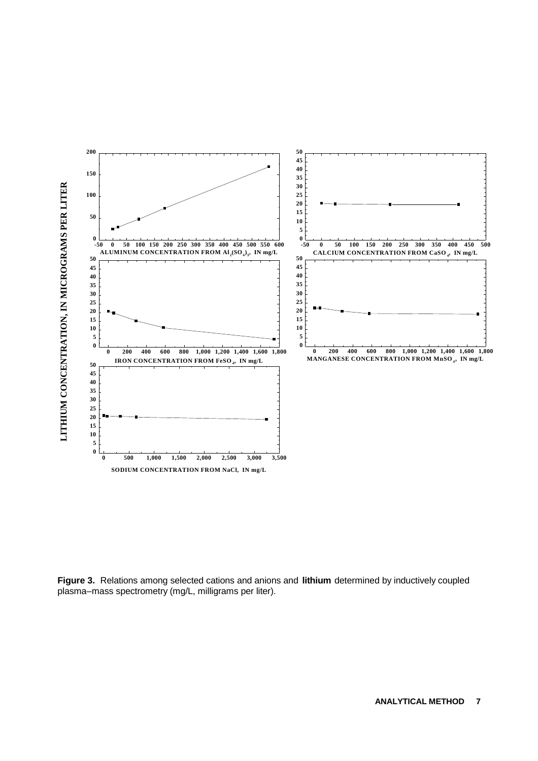

**Figure 3.** Relations among selected cations and anions and **lithium** determined by inductively coupled plasma–mass spectrometry (mg/L, milligrams per liter).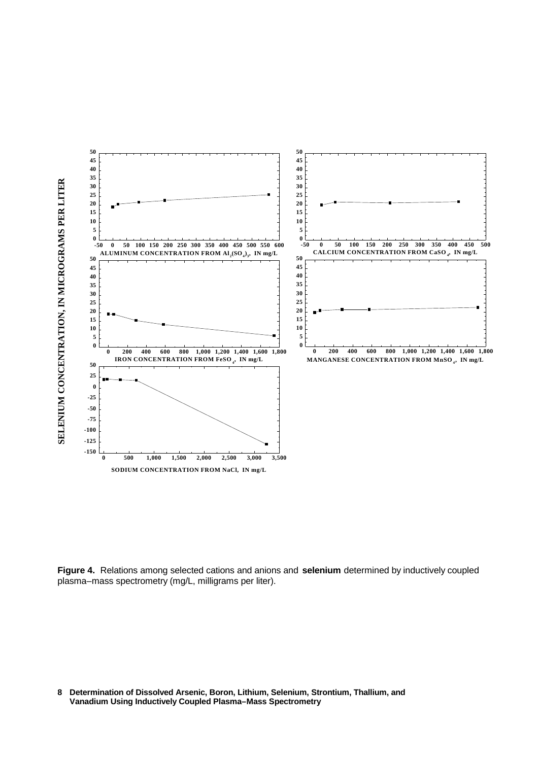

**Figure 4.** Relations among selected cations and anions and **selenium** determined by inductively coupled plasma–mass spectrometry (mg/L, milligrams per liter).

**Determination of Dissolved Arsenic, Boron, Lithium, Selenium, Strontium, Thallium, and Vanadium Using Inductively Coupled Plasma–Mass Spectrometry**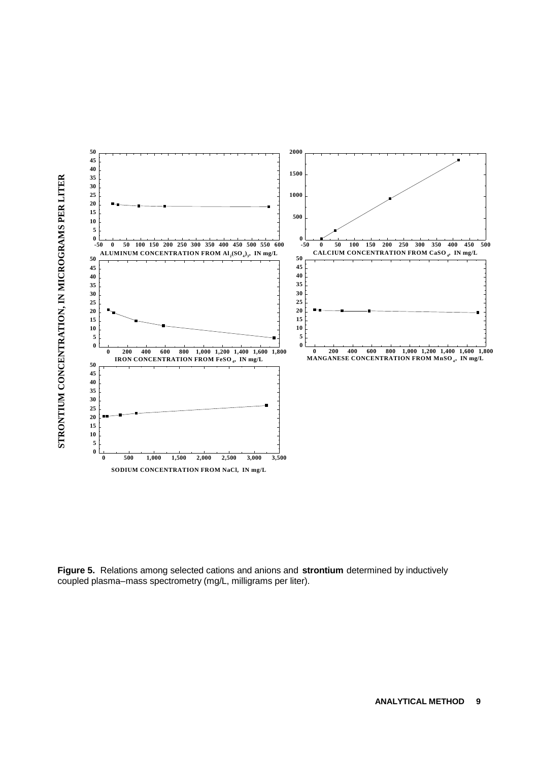

**Figure 5.** Relations among selected cations and anions and **strontium** determined by inductively coupled plasma–mass spectrometry (mg/L, milligrams per liter).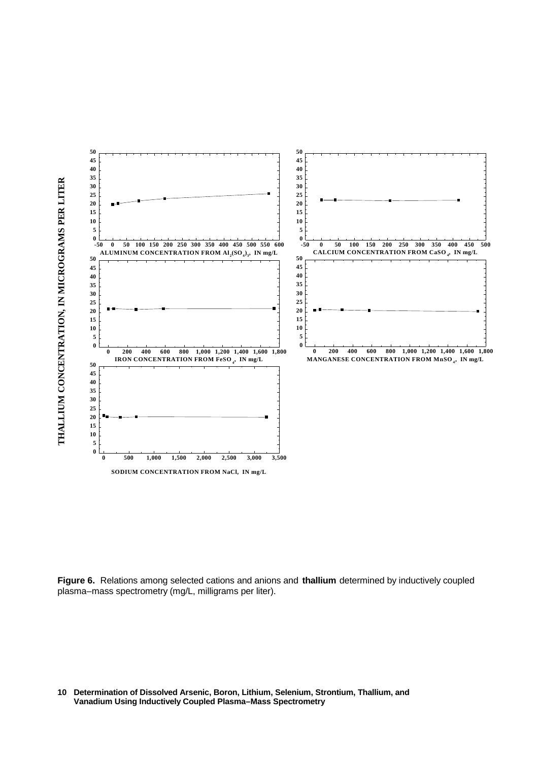

**Figure 6.** Relations among selected cations and anions and **thallium** determined by inductively coupled plasma–mass spectrometry (mg/L, milligrams per liter).

**Determination of Dissolved Arsenic, Boron, Lithium, Selenium, Strontium, Thallium, and Vanadium Using Inductively Coupled Plasma–Mass Spectrometry**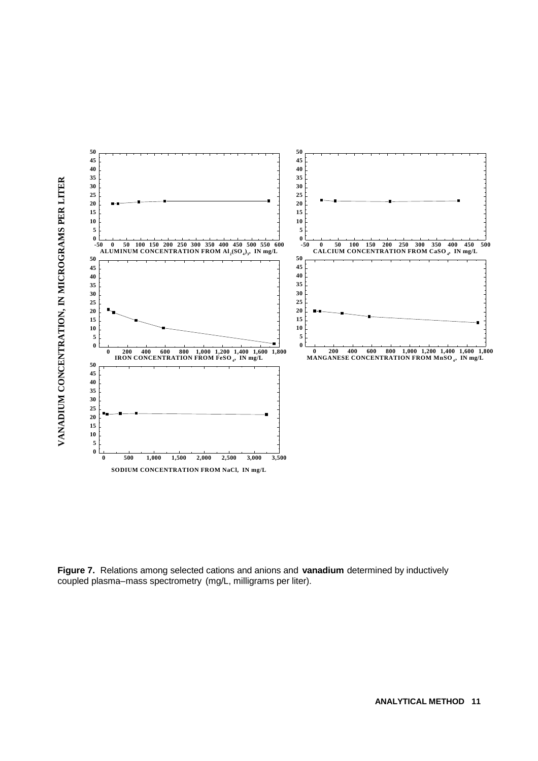

**Figure 7.** Relations among selected cations and anions and **vanadium** determined by inductively coupled plasma–mass spectrometry (mg/L, milligrams per liter).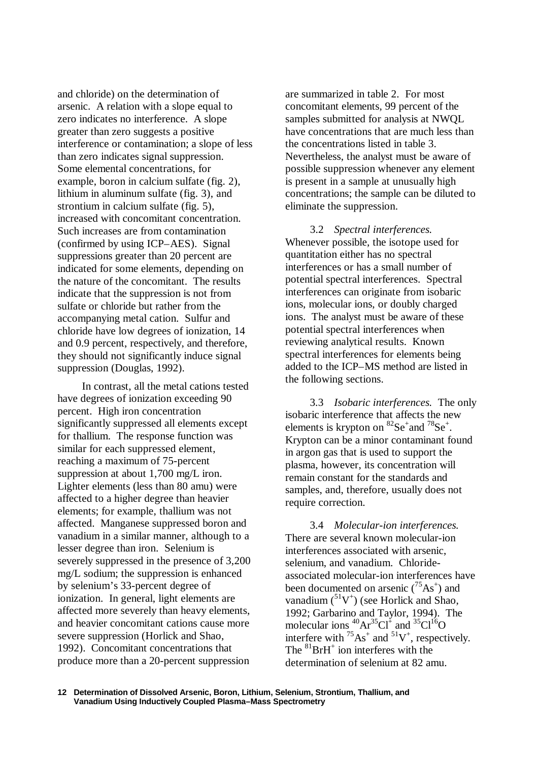and chloride) on the determination of arsenic. A relation with a slope equal to zero indicates no interference. A slope greater than zero suggests a positive interference or contamination; a slope of less than zero indicates signal suppression. Some elemental concentrations, for example, boron in calcium sulfate (fig. 2), lithium in aluminum sulfate (fig. 3), and strontium in calcium sulfate (fig. 5), increased with concomitant concentration. Such increases are from contamination (confirmed by using ICP–AES). Signal suppressions greater than 20 percent are indicated for some elements, depending on the nature of the concomitant. The results indicate that the suppression is not from sulfate or chloride but rather from the accompanying metal cation. Sulfur and chloride have low degrees of ionization, 14 and 0.9 percent, respectively, and therefore, they should not significantly induce signal suppression (Douglas, 1992).

In contrast, all the metal cations tested have degrees of ionization exceeding 90 percent. High iron concentration significantly suppressed all elements except for thallium. The response function was similar for each suppressed element, reaching a maximum of 75-percent suppression at about 1,700 mg/L iron. Lighter elements (less than 80 amu) were affected to a higher degree than heavier elements; for example, thallium was not affected. Manganese suppressed boron and vanadium in a similar manner, although to a lesser degree than iron. Selenium is severely suppressed in the presence of 3,200 mg/L sodium; the suppression is enhanced by selenium's 33-percent degree of ionization. In general, light elements are affected more severely than heavy elements, and heavier concomitant cations cause more severe suppression (Horlick and Shao, 1992). Concomitant concentrations that produce more than a 20-percent suppression

are summarized in table 2. For most concomitant elements, 99 percent of the samples submitted for analysis at NWQL have concentrations that are much less than the concentrations listed in table 3. Nevertheless, the analyst must be aware of possible suppression whenever any element is present in a sample at unusually high concentrations; the sample can be diluted to eliminate the suppression.

3.2 *Spectral interferences.* Whenever possible, the isotope used for quantitation either has no spectral interferences or has a small number of potential spectral interferences. Spectral interferences can originate from isobaric ions, molecular ions, or doubly charged ions. The analyst must be aware of these potential spectral interferences when reviewing analytical results. Known spectral interferences for elements being added to the ICP–MS method are listed in the following sections.

3.3 *Isobaric interferences.* The only isobaric interference that affects the new elements is krypton on  ${}^{82}Se^+$  and  ${}^{78}Se^+$ . Krypton can be a minor contaminant found in argon gas that is used to support the plasma, however, its concentration will remain constant for the standards and samples, and, therefore, usually does not require correction.

3.4 *Molecular-ion interferences.* There are several known molecular-ion interferences associated with arsenic, selenium, and vanadium. Chlorideassociated molecular-ion interferences have been documented on arsenic  $(^{75}As^{+})$  and vanadium  $({}^{51}V^+)$  (see Horlick and Shao, 1992; Garbarino and Taylor, 1994). The molecular ions  ${}^{40}Ar^{35}Cl^+$  and  ${}^{35}Cl^{16}O$ interfere with  ${}^{75}As^+$  and  ${}^{51}V^+$ , respectively. The  ${}^{81}BrH^+$  ion interferes with the determination of selenium at 82 amu.

**Determination of Dissolved Arsenic, Boron, Lithium, Selenium, Strontium, Thallium, and 12 Vanadium Using Inductively Coupled Plasma–Mass Spectrometry**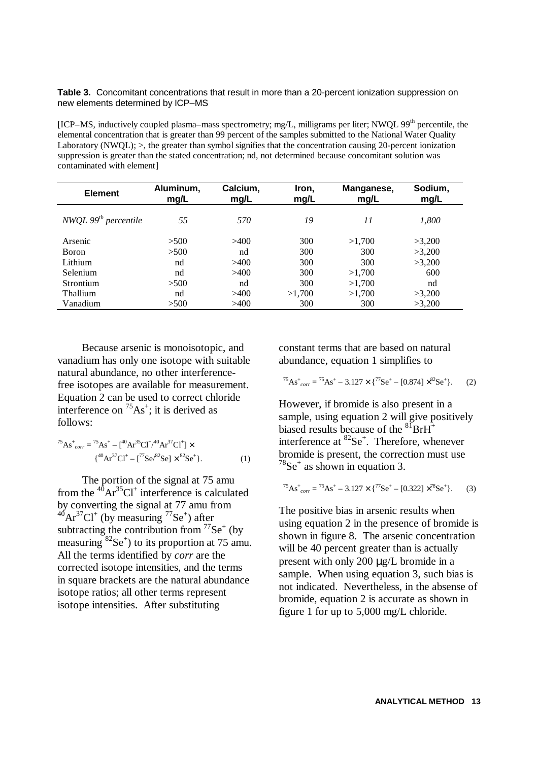Table 3. Concomitant concentrations that result in more than a 20-percent ionization suppression on new elements determined by ICP–MS

[ICP–MS, inductively coupled plasma–mass spectrometry; mg/L, milligrams per liter; NWQL 99th percentile, the elemental concentration that is greater than 99 percent of the samples submitted to the National Water Quality Laboratory (NWQL); >, the greater than symbol signifies that the concentration causing 20-percent ionization suppression is greater than the stated concentration; nd, not determined because concomitant solution was contaminated with element]

| <b>Element</b>         | Aluminum,<br>mg/L | Calcium,<br>mg/L | Iron,<br>mg/L | Manganese,<br>mg/L | Sodium,<br>mg/L |
|------------------------|-------------------|------------------|---------------|--------------------|-----------------|
| NWQL $99th$ percentile | 55                | 570              | 19            | 11                 | 1,800           |
| Arsenic                | >500              | >400             | 300           | >1,700             | >3.200          |
| <b>Boron</b>           | >500              | nd               | 300           | 300                | >3,200          |
| Lithium                | nd                | >400             | 300           | 300                | >3,200          |
| Selenium               | nd                | >400             | 300           | >1.700             | 600             |
| Strontium              | >500              | nd               | 300           | >1.700             | nd              |
| <b>Thallium</b>        | nd                | >400             | >1.700        | >1.700             | >3,200          |
| Vanadium               | >500              | >400             | 300           | 300                | >3,200          |

Because arsenic is monoisotopic, and vanadium has only one isotope with suitable natural abundance, no other interferencefree isotopes are available for measurement. Equation 2 can be used to correct chloride interference on  ${}^{75}As^+$ ; it is derived as follows:

<sup>75</sup>As<sup>+</sup> *corr* = <sup>75</sup>As<sup>+</sup> – [<sup>40</sup>Ar<sup>35</sup>Cl<sup>+</sup> / <sup>40</sup>Ar<sup>37</sup>Cl<sup>+</sup> ] × { <sup>40</sup>Ar<sup>37</sup>Cl<sup>+</sup> – [<sup>77</sup>Se/<sup>82</sup>Se] × <sup>82</sup>Se<sup>+</sup> }. (1)

The portion of the signal at 75 amu from the  ${}^{40}Ar^{35}Cl^+$  interference is calculated by converting the signal at 77 amu from  ${}^{40}Ar^{37}Cl^+$  (by measuring  ${}^{77}Se^+$ ) after subtracting the contribution from  $^{77}Se^{+}$  (by measuring  ${}^{82}Se^{+}$ ) to its proportion at 75 amu. All the terms identified by *corr* are the corrected isotope intensities, and the terms in square brackets are the natural abundance isotope ratios; all other terms represent isotope intensities. After substituting

constant terms that are based on natural abundance, equation 1 simplifies to

<sup>75</sup>As<sup>+</sup> *corr* = <sup>75</sup>As<sup>+</sup> – 3.127 × {<sup>77</sup>Se<sup>+</sup> – [0.874] × <sup>82</sup>Se<sup>+</sup> }. (2)

However, if bromide is also present in a sample, using equation 2 will give positively biased results because of the  ${}^{81}BrH^+$ interference at  ${}^{82}Se^{+}$ . Therefore, whenever bromide is present, the correction must use  $78$ Se<sup>+</sup> as shown in equation 3.

<sup>75</sup>As<sup>+</sup> *corr* = <sup>75</sup>As<sup>+</sup> – 3.127 × {<sup>77</sup>Se<sup>+</sup> – [0.322] × <sup>78</sup>Se<sup>+</sup> }. (3)

The positive bias in arsenic results when using equation 2 in the presence of bromide is shown in figure 8. The arsenic concentration will be 40 percent greater than is actually present with only 200 μg/L bromide in a sample. When using equation 3, such bias is not indicated. Nevertheless, in the absense of bromide, equation 2 is accurate as shown in figure 1 for up to 5,000 mg/L chloride.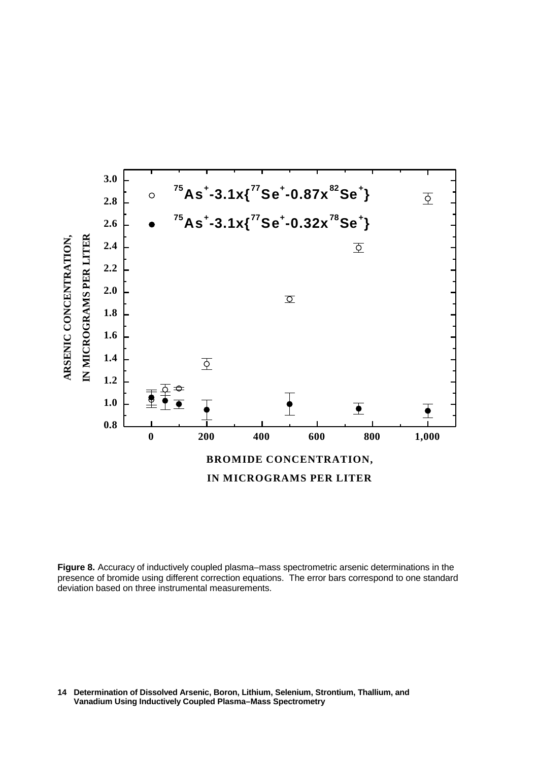

**Figure 8.** Accuracy of inductively coupled plasma–mass spectrometric arsenic determinations in the presence of bromide using different correction equations. The error bars correspond to one standard deviation based on three instrumental measurements.

**Determination of Dissolved Arsenic, Boron, Lithium, Selenium, Strontium, Thallium, and 14 Vanadium Using Inductively Coupled Plasma–Mass Spectrometry**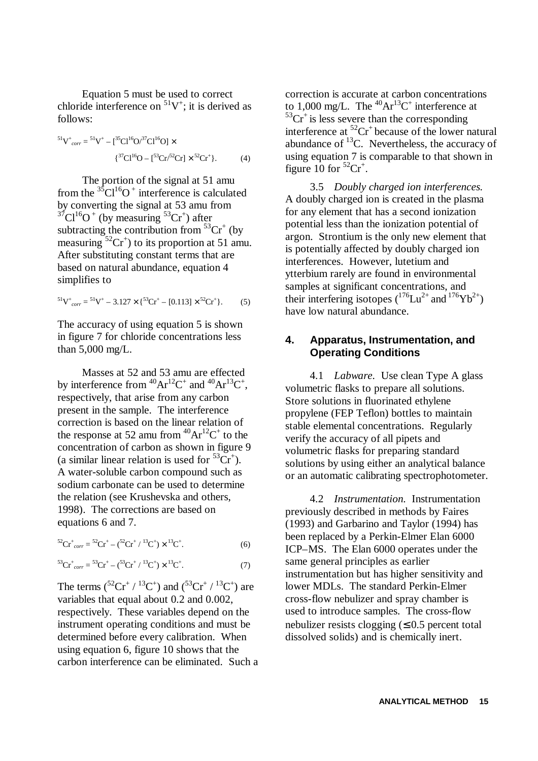Equation 5 must be used to correct chloride interference on  ${}^{51}V^+$ ; it is derived as follows:

<sup>51</sup>V + *corr* = <sup>51</sup>V + – [<sup>35</sup>Cl<sup>16</sup>O/<sup>37</sup>Cl<sup>16</sup>O] × { <sup>37</sup>Cl<sup>16</sup>O – [<sup>53</sup>Cr/<sup>52</sup>Cr] × <sup>52</sup>Cr<sup>+</sup> }. (4)

The portion of the signal at 51 amu from the  ${}^{35}Cl^{16}O^+$  interference is calculated by converting the signal at 53 amu from  $37^{\circ}$ Cl<sup>16</sup>O<sup>+</sup> (by measuring  $53^{\circ}$ Cr<sup>+</sup>) after subtracting the contribution from  ${}^{53}Cr^+$  (by measuring  ${}^{52}Cr^+$ ) to its proportion at 51 amu. After substituting constant terms that are based on natural abundance, equation 4 simplifies to

$$
{}^{51}V^{+}_{corr} = {}^{51}V^{+} - 3.127 \times \{ {}^{53}Cr^{+} - [0.113] \times {}^{52}Cr^{+} \}. \tag{5}
$$

The accuracy of using equation 5 is shown in figure 7 for chloride concentrations less than 5,000 mg/L.

Masses at 52 and 53 amu are effected by interference from  ${}^{40}Ar^{12}C^+$  and  ${}^{40}Ar^{13}C^+$ , respectively, that arise from any carbon present in the sample. The interference correction is based on the linear relation of the response at 52 amu from  ${}^{40}Ar^{12}C^+$  to the concentration of carbon as shown in figure 9 (a similar linear relation is used for  ${}^{53}Cr^+$ ). A water-soluble carbon compound such as sodium carbonate can be used to determine the relation (see Krushevska and others, 1998). The corrections are based on equations 6 and 7.

$$
{}^{52}\text{Cr}^+_{corr} = {}^{52}\text{Cr}^+ - ({}^{52}\text{Cr}^+ / {}^{13}\text{C}^+) \times {}^{13}\text{C}^+.
$$
 (6)

$$
{}^{53}\text{Cr}^+_{corr} = {}^{53}\text{Cr}^+ - ({}^{53}\text{Cr}^+ / {}^{13}\text{C}^+) \times {}^{13}\text{C}^+.
$$
 (7)

The terms  $({}^{52}Cr^+ / {}^{13}C^+)$  and  $({}^{53}Cr^+ / {}^{13}C^+)$  are variables that equal about 0.2 and 0.002, respectively. These variables depend on the instrument operating conditions and must be determined before every calibration. When using equation 6, figure 10 shows that the carbon interference can be eliminated. Such a

correction is accurate at carbon concentrations to 1,000 mg/L. The  ${}^{40}Ar^{13}C^+$  interference at  $53Cr^{+}$  is less severe than the corresponding interference at  ${}^{52}Cr$ <sup>+</sup> because of the lower natural abundance of  $^{13}$ C. Nevertheless, the accuracy of using equation 7 is comparable to that shown in figure 10 for  ${}^{52}Cr^+$ .

3.5 *Doubly charged ion interferences.* A doubly charged ion is created in the plasma for any element that has a second ionization potential less than the ionization potential of argon. Strontium is the only new element that is potentially affected by doubly charged ion interferences. However, lutetium and ytterbium rarely are found in environmental samples at significant concentrations, and their interfering isotopes  $(^{176}Lu^{2+}$  and  $^{176}Yb^{2+})$ have low natural abundance.

### **4. Apparatus, Instrumentation, and Operating Conditions**

4.1 *Labware.* Use clean Type A glass volumetric flasks to prepare all solutions. Store solutions in fluorinated ethylene propylene (FEP Teflon) bottles to maintain stable elemental concentrations. Regularly verify the accuracy of all pipets and volumetric flasks for preparing standard solutions by using either an analytical balance or an automatic calibrating spectrophotometer.

4.2 *Instrumentation.* Instrumentation previously described in methods by Faires (1993) and Garbarino and Taylor (1994) has been replaced by a Perkin-Elmer Elan 6000 ICP–MS. The Elan 6000 operates under the same general principles as earlier instrumentation but has higher sensitivity and lower MDLs. The standard Perkin-Elmer cross-flow nebulizer and spray chamber is used to introduce samples. The cross-flow nebulizer resists clogging  $( \leq 0.5 \text{ percent total})$ dissolved solids) and is chemically inert.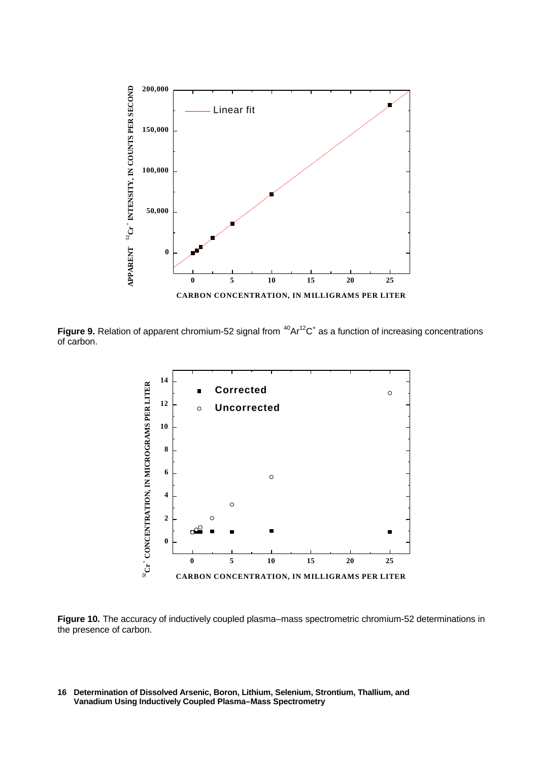

Figure 9. Relation of apparent chromium-52 signal from  ${}^{40}Ar^{12}C$ <sup>+</sup> as a function of increasing concentrations of carbon.



**Figure 10.** The accuracy of inductively coupled plasma–mass spectrometric chromium-52 determinations in the presence of carbon.

**Determination of Dissolved Arsenic, Boron, Lithium, Selenium, Strontium, Thallium, and 16 Vanadium Using Inductively Coupled Plasma–Mass Spectrometry**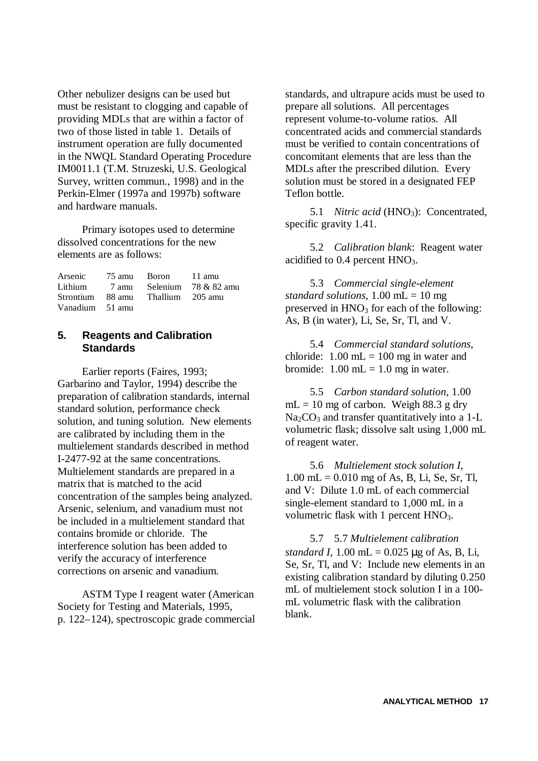Other nebulizer designs can be used but must be resistant to clogging and capable of providing MDLs that are within a factor of two of those listed in table 1. Details of instrument operation are fully documented in the NWQL Standard Operating Procedure IM0011.1 (T.M. Struzeski, U.S. Geological Survey, written commun., 1998) and in the Perkin-Elmer (1997a and 1997b) software and hardware manuals.

Primary isotopes used to determine dissolved concentrations for the new elements are as follows:

| Arsenic         | 75 amu Boron                      | 11 amu                                                                                              |
|-----------------|-----------------------------------|-----------------------------------------------------------------------------------------------------|
|                 |                                   | Lithium $\frac{7 \text{ amu}}{2 \text{ amu}}$ Selenium $\frac{78 \& 82 \text{ amu}}{2 \text{ amu}}$ |
|                 | Strontium 88 amu Thallium 205 amu |                                                                                                     |
| Vanadium 51 amu |                                   |                                                                                                     |

### **5. Reagents and Calibration Standards**

Earlier reports (Faires, 1993; Garbarino and Taylor, 1994) describe the preparation of calibration standards, internal standard solution, performance check solution, and tuning solution. New elements are calibrated by including them in the multielement standards described in method I-2477-92 at the same concentrations. Multielement standards are prepared in a matrix that is matched to the acid concentration of the samples being analyzed. Arsenic, selenium, and vanadium must not be included in a multielement standard that contains bromide or chloride. The interference solution has been added to verify the accuracy of interference corrections on arsenic and vanadium.

ASTM Type I reagent water (American Society for Testing and Materials, 1995, p. 122–124), spectroscopic grade commercial standards, and ultrapure acids must be used to prepare all solutions. All percentages represent volume-to-volume ratios. All concentrated acids and commercial standards must be verified to contain concentrations of concomitant elements that are less than the MDLs after the prescribed dilution. Every solution must be stored in a designated FEP Teflon bottle.

5.1 *Nitric acid* (HNO<sub>3</sub>): Concentrated, specific gravity 1.41.

5.2 *Calibration blank*: Reagent water acidified to  $0.4$  percent  $HNO<sub>3</sub>$ .

5.3 *Commercial single-element standard solutions*, 1.00 mL = 10 mg preserved in  $HNO<sub>3</sub>$  for each of the following: As, B (in water), Li, Se, Sr, Tl, and V.

5.4 *Commercial standard solutions*, chloride:  $1.00$  mL = 100 mg in water and bromide:  $1.00$  mL =  $1.0$  mg in water.

5.5 *Carbon standard solution,* 1.00  $mL = 10$  mg of carbon. Weigh 88.3 g dry  $Na<sub>2</sub>CO<sub>3</sub>$  and transfer quantitatively into a 1-L volumetric flask; dissolve salt using 1,000 mL of reagent water.

5.6 *Multielement stock solution I*,  $1.00$  mL = 0.010 mg of As, B, Li, Se, Sr, Tl, and V: Dilute 1.0 mL of each commercial single-element standard to 1,000 mL in a volumetric flask with 1 percent HNO<sub>3</sub>.

5.7 5.7 *Multielement calibration standard I,*  $1.00 \text{ mL} = 0.025 \text{ µg}$  of As, B, Li, Se, Sr, Tl, and V: Include new elements in an existing calibration standard by diluting 0.250 mL of multielement stock solution I in a 100 mL volumetric flask with the calibration blank.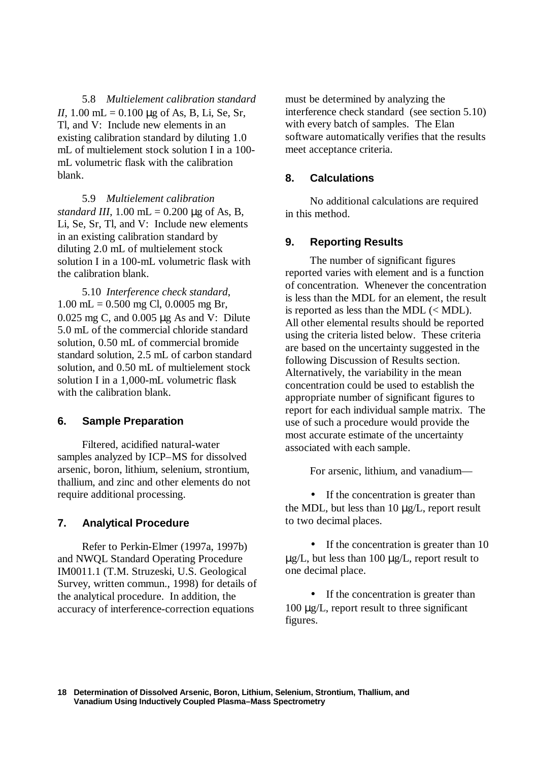5.8 *Multielement calibration standard II,* 1.00 mL = 0.100 μg of As, B, Li, Se, Sr, Tl, and V: Include new elements in an existing calibration standard by diluting 1.0 mL of multielement stock solution I in a 100 mL volumetric flask with the calibration blank.

5.9 *Multielement calibration standard III*,  $1.00$  mL =  $0.200$  µg of As, B, Li, Se, Sr, Tl, and V: Include new elements in an existing calibration standard by diluting 2.0 mL of multielement stock solution I in a 100-mL volumetric flask with the calibration blank.

5.10 *Interference check standard*,  $1.00$  mL = 0.500 mg Cl, 0.0005 mg Br, 0.025 mg C, and 0.005 μg As and V: Dilute 5.0 mL of the commercial chloride standard solution, 0.50 mL of commercial bromide standard solution, 2.5 mL of carbon standard solution, and 0.50 mL of multielement stock solution I in a 1,000-mL volumetric flask with the calibration blank.

### **6. Sample Preparation**

Filtered, acidified natural-water samples analyzed by ICP–MS for dissolved arsenic, boron, lithium, selenium, strontium, thallium, and zinc and other elements do not require additional processing.

### **7. Analytical Procedure**

Refer to Perkin-Elmer (1997a, 1997b) and NWQL Standard Operating Procedure IM0011.1 (T.M. Struzeski, U.S. Geological Survey, written commun., 1998) for details of the analytical procedure. In addition, the accuracy of interference-correction equations

must be determined by analyzing the interference check standard (see section 5.10) with every batch of samples. The Elan software automatically verifies that the results meet acceptance criteria.

#### **8. Calculations**

No additional calculations are required in this method.

### **9. Reporting Results**

The number of significant figures reported varies with element and is a function of concentration. Whenever the concentration is less than the MDL for an element, the result is reported as less than the MDL (< MDL). All other elemental results should be reported using the criteria listed below. These criteria are based on the uncertainty suggested in the following Discussion of Results section. Alternatively, the variability in the mean concentration could be used to establish the appropriate number of significant figures to report for each individual sample matrix. The use of such a procedure would provide the most accurate estimate of the uncertainty associated with each sample.

For arsenic, lithium, and vanadium—

• If the concentration is greater than the MDL, but less than  $10 \mu g/L$ , report result to two decimal places.

• If the concentration is greater than 10 μg/L, but less than 100 μg/L, report result to one decimal place.

• If the concentration is greater than 100 μg/L, report result to three significant figures.

**Determination of Dissolved Arsenic, Boron, Lithium, Selenium, Strontium, Thallium, and 18 Vanadium Using Inductively Coupled Plasma–Mass Spectrometry**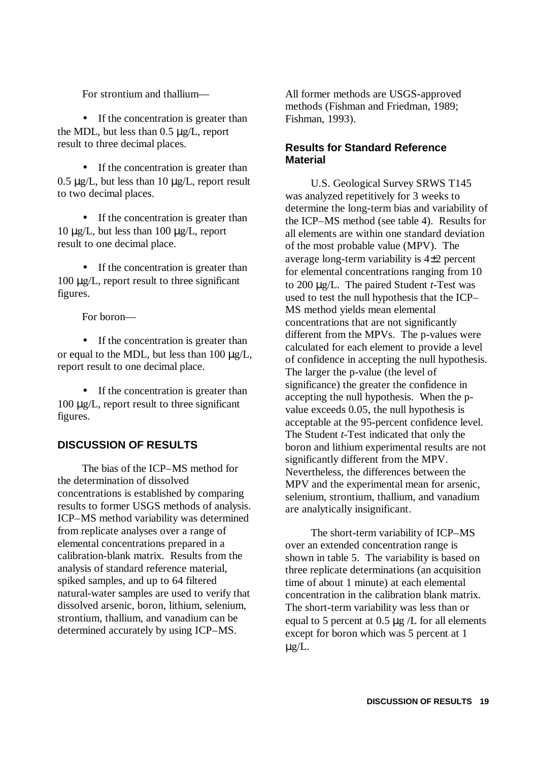For strontium and thallium—

• If the concentration is greater than the MDL, but less than 0.5 μg/L, report result to three decimal places.

• If the concentration is greater than  $0.5 \mu g/L$ , but less than 10  $\mu g/L$ , report result to two decimal places.

• If the concentration is greater than 10 μg/L, but less than 100 μg/L, report result to one decimal place.

• If the concentration is greater than 100 μg/L, report result to three significant figures.

For boron—

• If the concentration is greater than or equal to the MDL, but less than 100 μg/L, report result to one decimal place.

• If the concentration is greater than 100 μg/L, report result to three significant figures.

# **DISCUSSION OF RESULTS**

The bias of the ICP–MS method for the determination of dissolved concentrations is established by comparing results to former USGS methods of analysis. ICP–MS method variability was determined from replicate analyses over a range of elemental concentrations prepared in a calibration-blank matrix. Results from the analysis of standard reference material, spiked samples, and up to 64 filtered natural-water samples are used to verify that dissolved arsenic, boron, lithium, selenium, strontium, thallium, and vanadium can be determined accurately by using ICP–MS.

All former methods are USGS-approved methods (Fishman and Friedman, 1989; Fishman, 1993).

### **Results for Standard Reference Material**

U.S. Geological Survey SRWS T145 was analyzed repetitively for 3 weeks to determine the long-term bias and variability of the ICP–MS method (see table 4). Results for all elements are within one standard deviation of the most probable value (MPV). The average long-term variability is 4±2 percent for elemental concentrations ranging from 10 to 200 μg/L. The paired Student *t*-Test was used to test the null hypothesis that the ICP– MS method yields mean elemental concentrations that are not significantly different from the MPVs. The p-values were calculated for each element to provide a level of confidence in accepting the null hypothesis. The larger the p-value (the level of significance) the greater the confidence in accepting the null hypothesis. When the pvalue exceeds 0.05, the null hypothesis is acceptable at the 95-percent confidence level. The Student *t*-Test indicated that only the boron and lithium experimental results are not significantly different from the MPV. Nevertheless, the differences between the MPV and the experimental mean for arsenic, selenium, strontium, thallium, and vanadium are analytically insignificant.

The short-term variability of ICP–MS over an extended concentration range is shown in table 5. The variability is based on three replicate determinations (an acquisition time of about 1 minute) at each elemental concentration in the calibration blank matrix. The short-term variability was less than or equal to 5 percent at 0.5 μg /L for all elements except for boron which was 5 percent at 1 μg/L.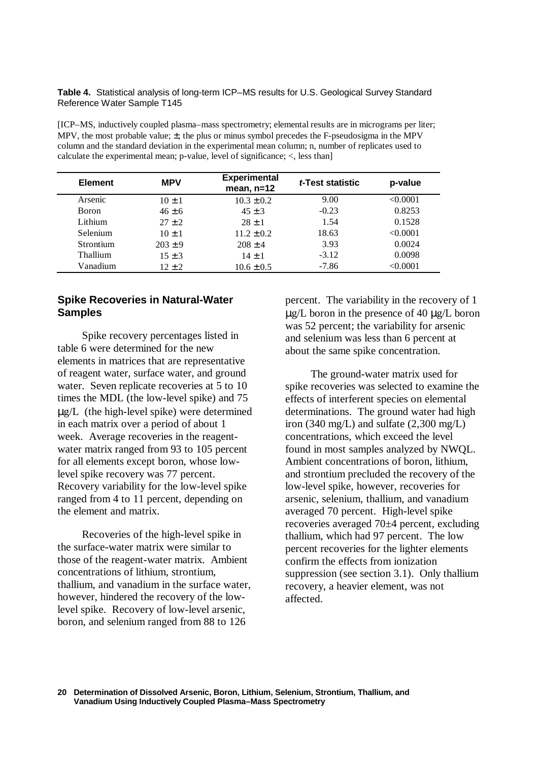**Table 4.** Statistical analysis of long-term ICP–MS results for U.S. Geological Survey Standard Reference Water Sample T145

[ICP–MS, inductively coupled plasma–mass spectrometry; elemental results are in micrograms per liter; MPV, the most probable value;  $\pm$ , the plus or minus symbol precedes the F-pseudosigma in the MPV column and the standard deviation in the experimental mean column; n, number of replicates used to calculate the experimental mean; p-value, level of significance; <, less than]

| <b>Element</b> | <b>MPV</b>  | <b>Experimental</b><br>mean, $n=12$ | t-Test statistic | p-value  |
|----------------|-------------|-------------------------------------|------------------|----------|
| Arsenic        | $10 \pm 1$  | $10.3 \pm 0.2$                      | 9.00             | < 0.0001 |
| <b>Boron</b>   | $46 \pm 6$  | $45 \pm 3$                          | $-0.23$          | 0.8253   |
| Lithium        | $27 + 2$    | $28 \pm 1$                          | 1.54             | 0.1528   |
| Selenium       | $10 \pm 1$  | $11.2 \pm 0.2$                      | 18.63            | < 0.0001 |
| Strontium      | $203 \pm 9$ | $208 \pm 4$                         | 3.93             | 0.0024   |
| Thallium       | $15 \pm 3$  | $14 \pm 1$                          | $-3.12$          | 0.0098   |
| Vanadium       | $12 + 2$    | $10.6 \pm 0.5$                      | $-7.86$          | < 0.0001 |

### **Spike Recoveries in Natural-Water Samples**

Spike recovery percentages listed in table 6 were determined for the new elements in matrices that are representative of reagent water, surface water, and ground water. Seven replicate recoveries at 5 to 10 times the MDL (the low-level spike) and 75 μg/L (the high-level spike) were determined in each matrix over a period of about 1 week. Average recoveries in the reagentwater matrix ranged from 93 to 105 percent for all elements except boron, whose lowlevel spike recovery was 77 percent. Recovery variability for the low-level spike ranged from 4 to 11 percent, depending on the element and matrix.

Recoveries of the high-level spike in the surface-water matrix were similar to those of the reagent-water matrix. Ambient concentrations of lithium, strontium, thallium, and vanadium in the surface water, however, hindered the recovery of the lowlevel spike. Recovery of low-level arsenic, boron, and selenium ranged from 88 to 126

percent. The variability in the recovery of 1 μg/L boron in the presence of 40 μg/L boron was 52 percent; the variability for arsenic and selenium was less than 6 percent at about the same spike concentration.

The ground-water matrix used for spike recoveries was selected to examine the effects of interferent species on elemental determinations. The ground water had high iron (340 mg/L) and sulfate  $(2,300 \text{ mg/L})$ concentrations, which exceed the level found in most samples analyzed by NWQL. Ambient concentrations of boron, lithium, and strontium precluded the recovery of the low-level spike, however, recoveries for arsenic, selenium, thallium, and vanadium averaged 70 percent. High-level spike recoveries averaged 70±4 percent, excluding thallium, which had 97 percent. The low percent recoveries for the lighter elements confirm the effects from ionization suppression (see section 3.1). Only thallium recovery, a heavier element, was not affected.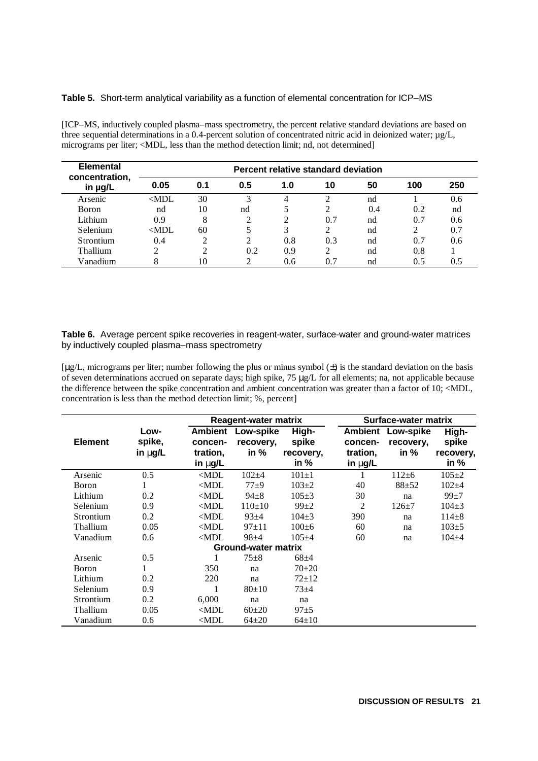#### **Table 5.** Short-term analytical variability as a function of elemental concentration for ICP–MS

[ICP–MS, inductively coupled plasma–mass spectrometry, the percent relative standard deviations are based on three sequential determinations in a 0.4-percent solution of concentrated nitric acid in deionized water;  $\mu$ g/L, micrograms per liter; <MDL, less than the method detection limit; nd, not determined]

| <b>Elemental</b><br>concentration, |         |     |     |     | Percent relative standard deviation |     |     |     |
|------------------------------------|---------|-----|-----|-----|-------------------------------------|-----|-----|-----|
| in µg/L                            | 0.05    | 0.1 | 0.5 | 1.0 | 10                                  | 50  | 100 | 250 |
| Arsenic                            | $<$ MDL | 30  | 3   | 4   |                                     | nd  |     | 0.6 |
| <b>Boron</b>                       | nd      | 10  | nd  | 5   | $\mathfrak{D}$                      | 0.4 | 0.2 | nd  |
| Lithium                            | 0.9     | 8   | ↑   | っ   | 0.7                                 | nd  | 0.7 | 0.6 |
| Selenium                           | $<$ MDL | 60  |     | 3   | $\mathfrak{D}$                      | nd  | 2   | 0.7 |
| <b>Strontium</b>                   | 0.4     |     | 2   | 0.8 | 0.3                                 | nd  | 0.7 | 0.6 |
| Thallium                           | ↑       |     | 0.2 | 0.9 |                                     | nd  | 0.8 |     |
| Vanadium                           | 8       | 10  | ↑   | 0.6 | 0.7                                 | nd  | 0.5 | 0.5 |

**Table 6.** Average percent spike recoveries in reagent-water, surface-water and ground-water matrices by inductively coupled plasma–mass spectrometry

 $[\mu g/L]$ , micrograms per liter; number following the plus or minus symbol  $(\pm)$  is the standard deviation on the basis of seven determinations accrued on separate days; high spike, 75 μg/L for all elements; na, not applicable because the difference between the spike concentration and ambient concentration was greater than a factor of 10; <MDL, concentration is less than the method detection limit; %, percent]

|                |                            |                           | Reagent-water matrix          |                     |                       | Surface-water matrix   |                     |
|----------------|----------------------------|---------------------------|-------------------------------|---------------------|-----------------------|------------------------|---------------------|
| <b>Element</b> | Low-<br>spike,             | <b>Ambient</b><br>concen- | <b>Low-spike</b><br>recovery, | High-<br>spike      | Ambient<br>concen-    | Low-spike<br>recovery. | High-<br>spike      |
|                | in $mg/L$                  | tration,<br>in mg/L       | in $%$                        | recovery,<br>in $%$ | tration,<br>in $mg/L$ | in %                   | recovery,<br>in $%$ |
| Arsenic        | 0.5                        | $<$ MDL                   | $102 + 4$                     | $101 \pm 1$         | 1                     | $112 + 6$              | $105 \pm 2$         |
| Boron          | 1                          | $\triangle MDL$           | $77 \pm 9$                    | $103+2$             | 40                    | $88 + 52$              | $102 + 4$           |
| Lithium        | 0.2                        | $<$ MDL                   | $94 + 8$                      | $105+3$             | 30                    | na                     | $99+7$              |
| Selenium       | 0.9                        | $\triangle MDL$           | $110+10$                      | $99+2$              | 2                     | $126 + 7$              | $104 \pm 3$         |
| Strontium      | 0.2                        | $\triangle MDL$           | $93 + 4$                      | $104\pm3$           | 390                   | na                     | $114 + 8$           |
| Thallium       | 0.05                       | $<$ MDL                   | $97+11$                       | $100+6$             | 60                    | na                     | $103 \pm 5$         |
| Vanadium       | 0.6                        | $<$ MDL                   | $98 + 4$                      | $105 + 4$           | 60                    | na                     | $104 + 4$           |
|                | <b>Ground-water matrix</b> |                           |                               |                     |                       |                        |                     |
| Arsenic        | 0.5                        |                           | $75 + 8$                      | $68 + 4$            |                       |                        |                     |
| <b>Boron</b>   | 1                          | 350                       | na                            | $70+20$             |                       |                        |                     |
| Lithium        | 0.2                        | 220                       | na                            | $72 + 12$           |                       |                        |                     |
| Selenium       | 0.9                        |                           | $80+10$                       | $73 + 4$            |                       |                        |                     |
| Strontium      | 0.2                        | 6,000                     | na                            | na                  |                       |                        |                     |
| Thallium       | 0.05                       | $\triangle MDL$           | $60+20$                       | $97 + 5$            |                       |                        |                     |
| Vanadium       | 0.6                        | $<$ MDL                   | $64{\pm}20$                   | $64 \pm 10$         |                       |                        |                     |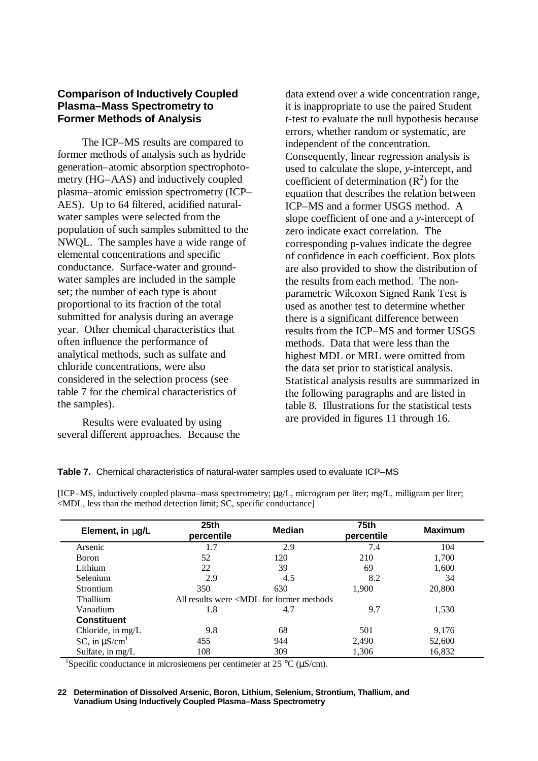## **Comparison of Inductively Coupled Plasma–Mass Spectrometry to Former Methods of Analysis**

The ICP–MS results are compared to former methods of analysis such as hydride generation–atomic absorption spectrophotometry (HG–AAS) and inductively coupled plasma–atomic emission spectrometry (ICP– AES). Up to 64 filtered, acidified naturalwater samples were selected from the population of such samples submitted to the NWQL. The samples have a wide range of elemental concentrations and specific conductance. Surface-water and groundwater samples are included in the sample set; the number of each type is about proportional to its fraction of the total submitted for analysis during an average year. Other chemical characteristics that often influence the performance of analytical methods, such as sulfate and chloride concentrations, were also considered in the selection process (see table 7 for the chemical characteristics of the samples).

Results were evaluated by using several different approaches. Because the data extend over a wide concentration range, it is inappropriate to use the paired Student *t*-test to evaluate the null hypothesis because errors, whether random or systematic, are independent of the concentration. Consequently, linear regression analysis is used to calculate the slope, *y*-intercept, and coefficient of determination  $(R^2)$  for the equation that describes the relation between ICP–MS and a former USGS method. A slope coefficient of one and a *y*-intercept of zero indicate exact correlation. The corresponding p-values indicate the degree of confidence in each coefficient. Box plots are also provided to show the distribution of the results from each method. The nonparametric Wilcoxon Signed Rank Test is used as another test to determine whether there is a significant difference between results from the ICP–MS and former USGS methods. Data that were less than the highest MDL or MRL were omitted from the data set prior to statistical analysis. Statistical analysis results are summarized in the following paragraphs and are listed in table 8. Illustrations for the statistical tests are provided in figures 11 through 16.

| Element, in ng/L               | 25 <sub>th</sub><br>percentile                                                             | Median | <b>75th</b><br>percentile | <b>Maximum</b> |
|--------------------------------|--------------------------------------------------------------------------------------------|--------|---------------------------|----------------|
| Arsenic                        | 1.7                                                                                        | 2.9    | 7.4                       | 104            |
| <b>Boron</b>                   | 52                                                                                         | 120    | 210                       | 1,700          |
| Lithium                        | 22                                                                                         | 39     | 69                        | 1,600          |
| Selenium                       | 2.9                                                                                        | 4.5    | 8.2                       | 34             |
| <b>Strontium</b>               | 350                                                                                        | 630    | 1.900                     | 20,800         |
| Thallium                       | All results were <mdl for="" former="" methods<="" td=""><td></td><td></td><td></td></mdl> |        |                           |                |
| Vanadium                       | 1.8                                                                                        | 4.7    | 9.7                       | 1,530          |
| <b>Constituent</b>             |                                                                                            |        |                           |                |
| Chloride, in mg/L              | 9.8                                                                                        | 68     | 501                       | 9,176          |
| SC, in $\mu$ S/cm <sup>1</sup> | 455                                                                                        | 944    | 2,490                     | 52,600         |
| Sulfate, in mg/L               | 108                                                                                        | 309    | 1,306                     | 16,832         |

[ICP–MS, inductively coupled plasma–mass spectrometry; μg/L, microgram per liter; mg/L, milligram per liter; <MDL, less than the method detection limit; SC, specific conductance]

<sup>1</sup>Specific conductance in microsiemens per centimeter at 25 °C ( $\mu$ S/cm).

#### **Determination of Dissolved Arsenic, Boron, Lithium, Selenium, Strontium, Thallium, and 22 Vanadium Using Inductively Coupled Plasma–Mass Spectrometry**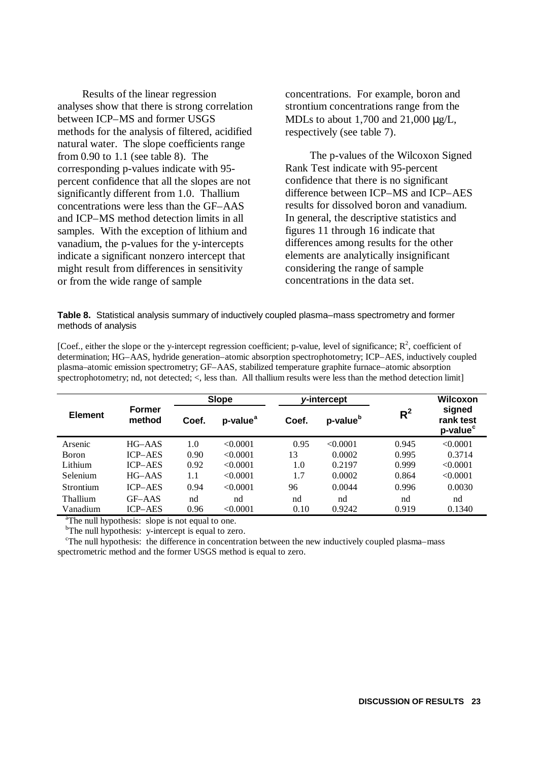Results of the linear regression analyses show that there is strong correlation between ICP–MS and former USGS methods for the analysis of filtered, acidified natural water. The slope coefficients range from 0.90 to 1.1 (see table 8). The corresponding p-values indicate with 95 percent confidence that all the slopes are not significantly different from 1.0. Thallium concentrations were less than the GF–AAS and ICP–MS method detection limits in all samples. With the exception of lithium and vanadium, the p-values for the y-intercepts indicate a significant nonzero intercept that might result from differences in sensitivity or from the wide range of sample

concentrations. For example, boron and strontium concentrations range from the MDLs to about 1,700 and 21,000 μg/L, respectively (see table 7).

The p-values of the Wilcoxon Signed Rank Test indicate with 95-percent confidence that there is no significant difference between ICP–MS and ICP–AES results for dissolved boron and vanadium. In general, the descriptive statistics and figures 11 through 16 indicate that differences among results for the other elements are analytically insignificant considering the range of sample concentrations in the data set.

**Table 8.** Statistical analysis summary of inductively coupled plasma–mass spectrometry and former methods of analysis

[Coef., either the slope or the y-intercept regression coefficient; p-value, level of significance;  $R^2$ , coefficient of determination; HG–AAS, hydride generation–atomic absorption spectrophotometry; ICP–AES, inductively coupled plasma–atomic emission spectrometry; GF–AAS, stabilized temperature graphite furnace–atomic absorption spectrophotometry; nd, not detected; <, less than. All thallium results were less than the method detection limit]

| Wilcoxon                                    |
|---------------------------------------------|
| signed<br>rank test<br>p-value <sup>c</sup> |
| < 0.0001                                    |
| 0.3714                                      |
| < 0.0001                                    |
| < 0.0001                                    |
| 0.0030                                      |
| nd                                          |
| 0.1340                                      |
|                                             |

<sup>a</sup>The null hypothesis: slope is not equal to one.

<sup>b</sup>The null hypothesis: y-intercept is equal to zero.

<sup>c</sup>The null hypothesis: the difference in concentration between the new inductively coupled plasma–mass spectrometric method and the former USGS method is equal to zero.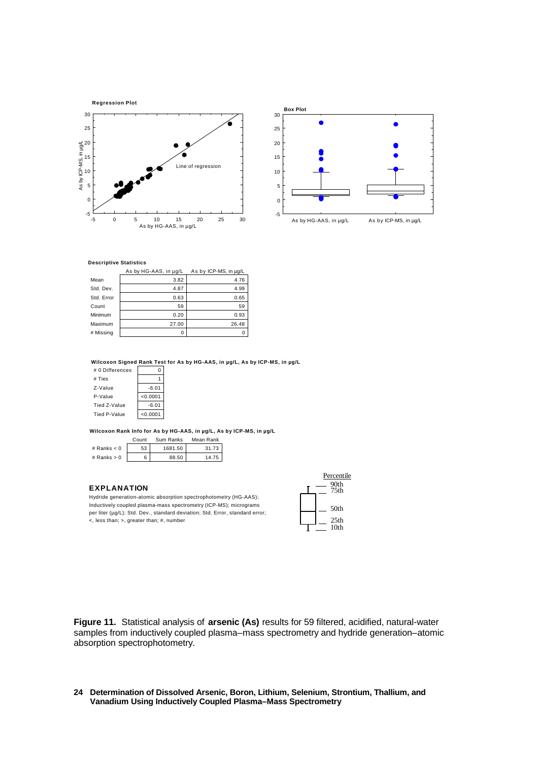



|            | As by HG-AAS, in µg/L | As by ICP-MS, in µq/L |
|------------|-----------------------|-----------------------|
| Mean       | 3.82                  | 4.76                  |
| Std. Dev.  | 4.87                  | 4.99                  |
| Std. Error | 0.63                  | 0.65                  |
| Count      | 59                    | 59                    |
| Minimum    | 0.20                  | 0.93                  |
| Maximum    | 27.00                 | 26.48                 |
| # Missing  | 0                     |                       |

**Wilcoxon Signed Rank Test for As by HG-AAS, in µg/L, As by ICP-MS, in µg/L**

| # 0 Differences |          |
|-----------------|----------|
| # Ties          |          |
| Z-Value         | $-6.01$  |
| P-Value         | < 0.0001 |
| Tied Z-Value    | $-6.01$  |
| Tied P-Value    | < 0.0001 |

**Wilcoxon Rank Info for As by HG-AAS, in µg/L, As by ICP-MS, in µg/L**

|               | Count | Sum Ranks | Mean Rank |  |
|---------------|-------|-----------|-----------|--|
| # Ranks $< 0$ | 53    | 1681.50   | 31.73     |  |
| # Ranks $> 0$ |       | 88.50     | 14.75     |  |

#### **EXPLANATION**

Hydride generation-atomic absorption spectrophotometry (HG-AAS); Inductively coupled plasma-mass spectrometry (ICP-MS); micrograms per liter (µg/L); Std. Dev., standard deviation; Std. Error, standard error; <, less than; >, greater than; #, number

| Percentile |                          |  |  |  |
|------------|--------------------------|--|--|--|
|            | 90th<br>75th             |  |  |  |
|            | 50th                     |  |  |  |
|            | 25 <sub>th</sub><br>10th |  |  |  |
|            |                          |  |  |  |

**Figure 11.** Statistical analysis of **arsenic (As)** results for 59 filtered, acidified, natural-water samples from inductively coupled plasma–mass spectrometry and hydride generation–atomic absorption spectrophotometry.

**Determination of Dissolved Arsenic, Boron, Lithium, Selenium, Strontium, Thallium, and 24 Vanadium Using Inductively Coupled Plasma–Mass Spectrometry**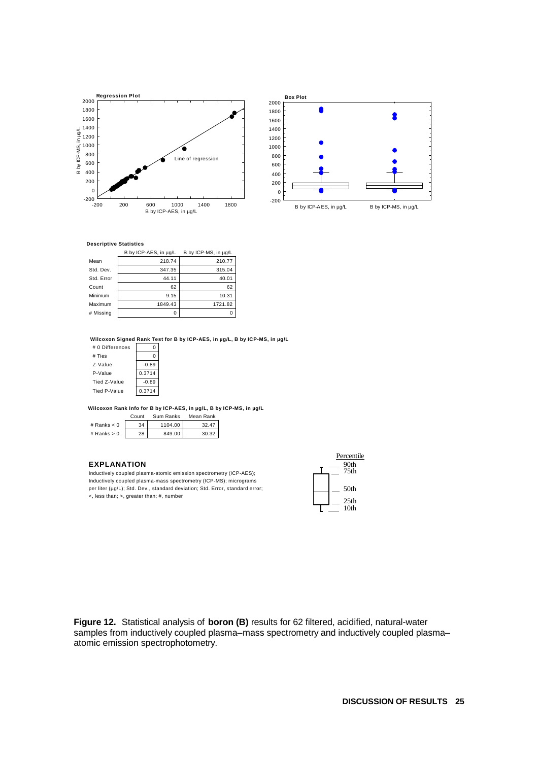



|            | B by ICP-AES, in µg/L | B by ICP-MS, in µg/L |
|------------|-----------------------|----------------------|
| Mean       | 218.74                | 210.77               |
| Std. Dev.  | 347.35                | 315.04               |
| Std. Error | 44.11                 | 40.01                |
| Count      | 62                    | 62                   |
| Minimum    | 9.15                  | 10.31                |
| Maximum    | 1849.43               | 1721.82              |
| # Missina  |                       |                      |

**Wilcoxon Signed Rank Test for B by ICP-AES, in µg/L, B by ICP-MS, in µg/L**

| # 0 Differences |         |
|-----------------|---------|
| # Ties          |         |
| Z-Value         | $-0.89$ |
| P-Value         | 0.3714  |
| Tied Z-Value    | $-0.89$ |
| Tied P-Value    | 0.3714  |

**Wilcoxon Rank Info for B by ICP-AES, in µg/L, B by ICP-MS, in µg/L**

|               | Count | Sum Ranks | Mean Rank |
|---------------|-------|-----------|-----------|
| # Ranks $< 0$ | 34    | 1104.00   | 32.47     |
| # Ranks $> 0$ | 28    | 849.00    | 30.32     |

#### **EXPLANATION**

Inductively coupled plasma-atomic emission spectrometry (ICP-AES); Inductively coupled plasma-mass spectrometry (ICP-MS); micrograms per liter (µg/L); Std. Dev., standard deviation; Std. Error, standard error; <, less than; >, greater than; #, number

| Percentile<br>90th<br>75th |
|----------------------------|
| .50th                      |
| 25th<br>10 <sub>th</sub>   |

**Figure 12.** Statistical analysis of **boron (B)** results for 62 filtered, acidified, natural-water samples from inductively coupled plasma–mass spectrometry and inductively coupled plasma– atomic emission spectrophotometry.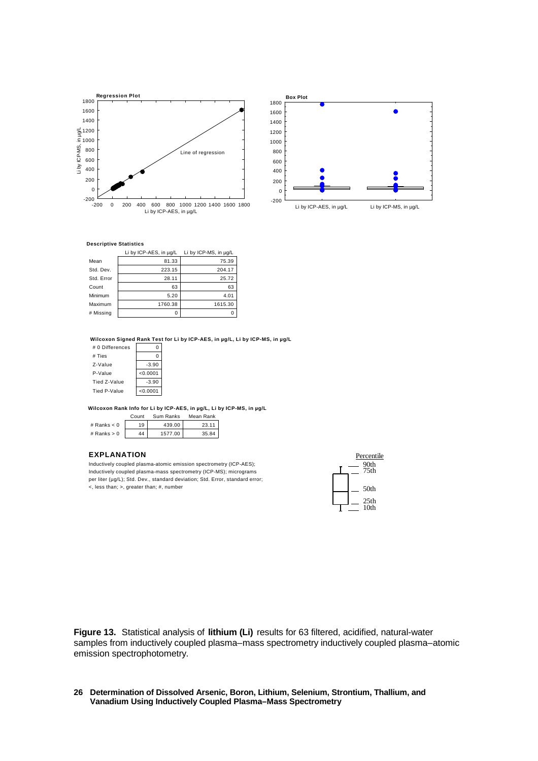



|            | Li by ICP-AES, in µg/L | Li by ICP-MS, in ug/L |
|------------|------------------------|-----------------------|
| Mean       | 81.33                  | 75.39                 |
| Std. Dev.  | 223.15                 | 204.17                |
| Std. Error | 28.11                  | 25.72                 |
| Count      | 63                     | 63                    |
| Minimum    | 5.20                   | 4.01                  |
| Maximum    | 1760.38                | 1615.30               |
| # Missina  |                        |                       |

**Wilcoxon Signed Rank Test for Li by ICP-AES, in µg/L, Li by ICP-MS, in µg/L**

| # 0 Differences |          |
|-----------------|----------|
| # Ties          |          |
| Z-Value         | $-3.90$  |
| P-Value         | < 0.0001 |
| Tied Z-Value    | $-3.90$  |
| Tied P-Value    | < 0.0001 |

**Wilcoxon Rank Info for Li by ICP-AES, in µg/L, Li by ICP-MS, in µg/L**

|               | Count | Sum Ranks | Mean Rank |
|---------------|-------|-----------|-----------|
| # Ranks $< 0$ | 19    | 439.00    | 23.11     |
| # Ranks $> 0$ | 44    | 1577.00   | 35.84     |

#### **EXPLANATION**

Inductively coupled plasma-atomic emission spectrometry (ICP-AES); Inductively coupled plasma-mass spectrometry (ICP-MS); micrograms per liter (µg/L); Std. Dev., standard deviation; Std. Error, standard error; <, less than; >, greater than; #, number



**Figure 13.** Statistical analysis of **lithium (Li)** results for 63 filtered, acidified, natural-water samples from inductively coupled plasma–mass spectrometry inductively coupled plasma–atomic emission spectrophotometry.

#### **Determination of Dissolved Arsenic, Boron, Lithium, Selenium, Strontium, Thallium, and 26 Vanadium Using Inductively Coupled Plasma–Mass Spectrometry**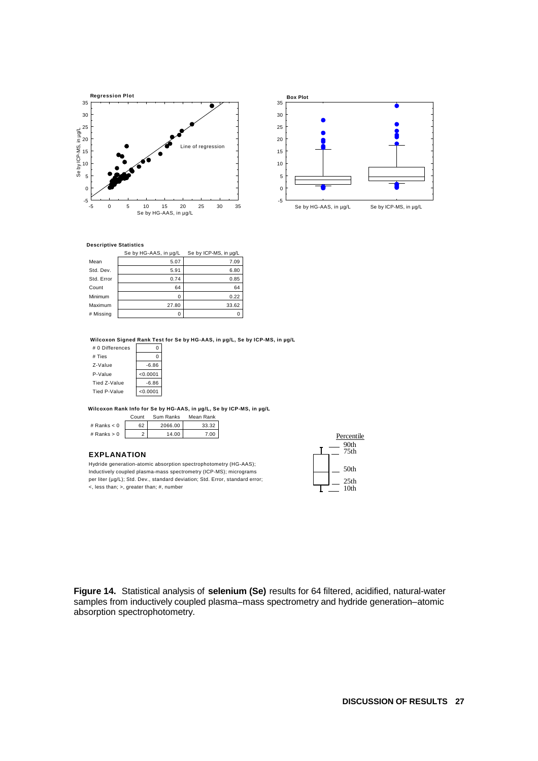



|            | Se by HG-AAS, in µg/L | Se by ICP-MS, in µg/L |
|------------|-----------------------|-----------------------|
| Mean       | 5.07                  | 7.09                  |
| Std. Dev.  | 5.91                  | 6.80                  |
| Std. Error | 0.74                  | 0.85                  |
| Count      | 64                    | 64                    |
| Minimum    | 0                     | 0.22                  |
| Maximum    | 27.80                 | 33.62                 |
| # Missing  | 0                     |                       |

**Wilcoxon Signed Rank Test for Se by HG-AAS, in µg/L, Se by ICP-MS, in µg/L**

| # 0 Differences |          |
|-----------------|----------|
| # Ties          | 0        |
| Z-Value         | $-6.86$  |
| P-Value         | < 0.0001 |
| Tied Z-Value    | $-6.86$  |
| Tied P-Value    | < 0.0001 |

Count Sum Panks Me **Wilcoxon Rank Info for Se by HG-AAS, in µg/L, Se by ICP-MS, in µg/L**

|               | Gount | Sum Ranks | iviean Rank |
|---------------|-------|-----------|-------------|
| # Ranks $< 0$ | 62    | 2066.00   | 33.32       |
| # Ranks $> 0$ |       | 14.00     | 7.00        |

#### **EXPLANATION**

Hydride generation-atomic absorption spectrophotometry (HG-AAS); Inductively coupled plasma-mass spectrometry (ICP-MS); micrograms per liter (µg/L); Std. Dev., standard deviation; Std. Error, standard error; <, less than; >, greater than; #, number



**Figure 14.** Statistical analysis of **selenium (Se)** results for 64 filtered, acidified, natural-water samples from inductively coupled plasma–mass spectrometry and hydride generation–atomic absorption spectrophotometry.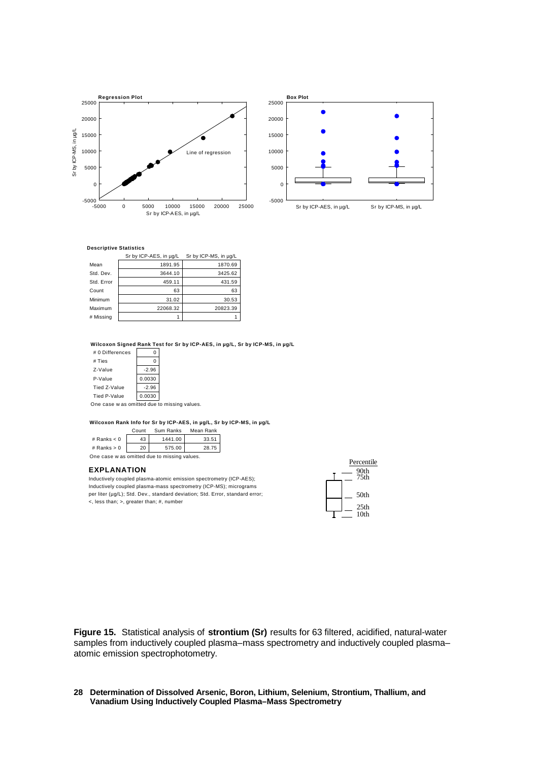



|            | Sr by ICP-AES, in µg/L | Sr by ICP-MS, in µg/L |
|------------|------------------------|-----------------------|
| Mean       | 1891.95                | 1870.69               |
| Std. Dev.  | 3644.10                | 3425.62               |
| Std. Error | 459.11                 | 431.59                |
| Count      | 63                     | 63                    |
| Minimum    | 31.02                  | 30.53                 |
| Maximum    | 22068.32               | 20823.39              |
| # Missing  |                        |                       |

**Wilcoxon Signed Rank Test for Sr by ICP-AES, in µg/L, Sr by ICP-MS, in µg/L**

| # 0 Differences |               |
|-----------------|---------------|
| # Ties          |               |
| Z-Value         | $-2.96$       |
| P-Value         | 0.0030        |
| Tied Z-Value    | $-2.96$       |
| Tied P-Value    | 0.0030        |
|                 | $\sim$ $\sim$ |

One case w as omitted due to missing values.

**Wilcoxon Rank Info for Sr by ICP-AES, in µg/L, Sr by ICP-MS, in µg/L**

|                                              | Count | Sum Ranks | Mean Rank |  |  |  |  |
|----------------------------------------------|-------|-----------|-----------|--|--|--|--|
| # Ranks $< 0$                                | 43    | 1441.00   | 33.51     |  |  |  |  |
| # $Ranks > 0$                                | 20    | 575.00    | 28.75     |  |  |  |  |
| One case w as omitted due to missing values. |       |           |           |  |  |  |  |

#### **EXPLANATION**

Inductively coupled plasma-atomic emission spectrometry (ICP-AES); Inductively coupled plasma-mass spectrometry (ICP-MS); micrograms per liter (µg/L); Std. Dev., standard deviation; Std. Error, standard error; <, less than; >, greater than; #, number

| Percentile<br>90th<br>75th |
|----------------------------|
| 50th                       |
| 25th<br>10 <sub>th</sub>   |

**Figure 15.** Statistical analysis of **strontium (Sr)** results for 63 filtered, acidified, natural-water samples from inductively coupled plasma–mass spectrometry and inductively coupled plasma– atomic emission spectrophotometry.

#### **Determination of Dissolved Arsenic, Boron, Lithium, Selenium, Strontium, Thallium, and 28 Vanadium Using Inductively Coupled Plasma–Mass Spectrometry**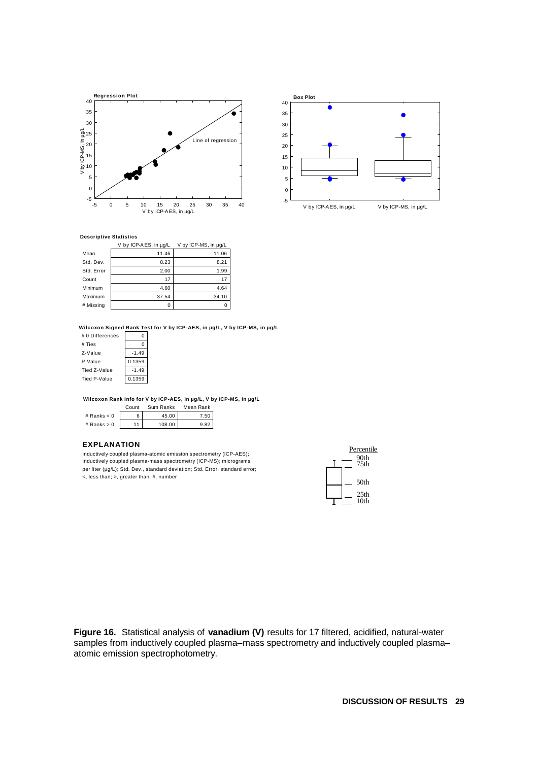



|            | V by ICP-AES, in ug/L | V by ICP-MS, in µg/L |
|------------|-----------------------|----------------------|
| Mean       | 11.46                 | 11.06                |
| Std. Dev.  | 8.23                  | 8.21                 |
| Std. Error | 2.00                  | 1.99                 |
| Count      | 17                    | 17                   |
| Minimum    | 4.60                  | 4.64                 |
| Maximum    | 37.54                 | 34.10                |
| # Missing  | n                     |                      |

**Wilcoxon Signed Rank Test for V by ICP-AES, in µg/L, V by ICP-MS, in µg/L**

| # 0 Differences |         |
|-----------------|---------|
| # Ties          |         |
| Z-Value         | $-1.49$ |
| P-Value         | 0.1359  |
| Tied Z-Value    | $-1.49$ |
| Tied P-Value    | 0.1359  |

**Wilcoxon Rank Info for V by ICP-AES, in µg/L, V by ICP-MS, in µg/L**

|               | Count | Sum Ranks | Mean Rank |
|---------------|-------|-----------|-----------|
| # Ranks $< 0$ | 6     | 45.00     | 7.50      |
| # Ranks $> 0$ | 11    | 108.00    | 982       |

#### **EXPLANATION**

Inductively coupled plasma-atomic emission spectrometry (ICP-AES); Inductively coupled plasma-mass spectrometry (ICP-MS); micrograms per liter (µg/L); Std. Dev., standard deviation; Std. Error, standard error; <, less than; >, greater than; #, number



**Figure 16.** Statistical analysis of **vanadium (V)** results for 17 filtered, acidified, natural-water samples from inductively coupled plasma–mass spectrometry and inductively coupled plasma– atomic emission spectrophotometry.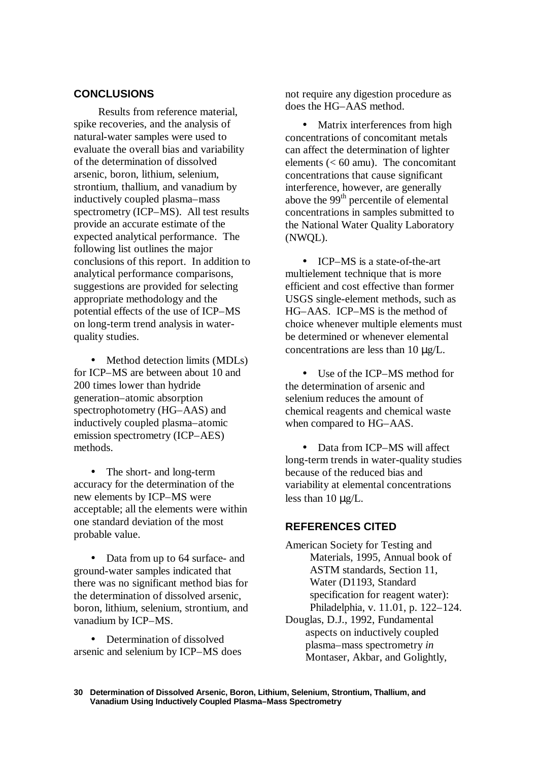## **CONCLUSIONS**

Results from reference material, spike recoveries, and the analysis of natural-water samples were used to evaluate the overall bias and variability of the determination of dissolved arsenic, boron, lithium, selenium, strontium, thallium, and vanadium by inductively coupled plasma–mass spectrometry (ICP–MS). All test results provide an accurate estimate of the expected analytical performance. The following list outlines the major conclusions of this report. In addition to analytical performance comparisons, suggestions are provided for selecting appropriate methodology and the potential effects of the use of ICP–MS on long-term trend analysis in waterquality studies.

• Method detection limits (MDLs) for ICP–MS are between about 10 and 200 times lower than hydride generation–atomic absorption spectrophotometry (HG–AAS) and inductively coupled plasma–atomic emission spectrometry (ICP–AES) methods.

The short- and long-term accuracy for the determination of the new elements by ICP–MS were acceptable; all the elements were within one standard deviation of the most probable value.

• Data from up to 64 surface- and ground-water samples indicated that there was no significant method bias for the determination of dissolved arsenic, boron, lithium, selenium, strontium, and vanadium by ICP–MS.

• Determination of dissolved arsenic and selenium by ICP–MS does not require any digestion procedure as does the HG–AAS method.

• Matrix interferences from high concentrations of concomitant metals can affect the determination of lighter elements  $(< 60$  amu). The concomitant concentrations that cause significant interference, however, are generally above the 99<sup>th</sup> percentile of elemental concentrations in samples submitted to the National Water Quality Laboratory (NWQL).

• **ICP–MS** is a state-of-the-art multielement technique that is more efficient and cost effective than former USGS single-element methods, such as HG–AAS. ICP–MS is the method of choice whenever multiple elements must be determined or whenever elemental concentrations are less than 10 μg/L.

• Use of the ICP–MS method for the determination of arsenic and selenium reduces the amount of chemical reagents and chemical waste when compared to HG–AAS.

• Data from ICP–MS will affect long-term trends in water-quality studies because of the reduced bias and variability at elemental concentrations less than 10 μg/L.

### **REFERENCES CITED**

American Society for Testing and Materials, 1995, Annual book of ASTM standards, Section 11, Water (D1193, Standard specification for reagent water): Philadelphia, v. 11.01, p. 122–124. Douglas, D.J., 1992, Fundamental aspects on inductively coupled plasma–mass spectrometry *in* Montaser, Akbar, and Golightly,

**Determination of Dissolved Arsenic, Boron, Lithium, Selenium, Strontium, Thallium, and 30 Vanadium Using Inductively Coupled Plasma–Mass Spectrometry**